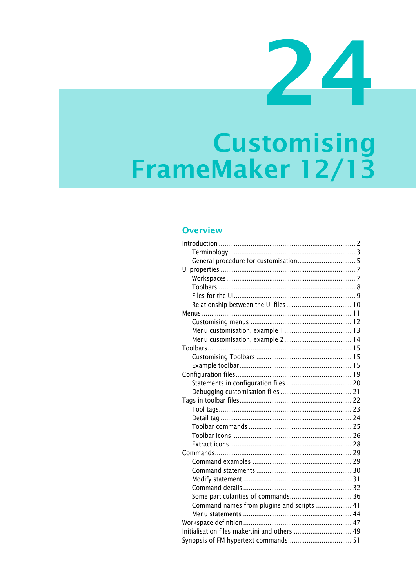74

# <span id="page-0-0"></span>**Customising** FrameMaker 12/13

#### **Overview**

| General procedure for customisation 5         |  |
|-----------------------------------------------|--|
|                                               |  |
|                                               |  |
|                                               |  |
|                                               |  |
|                                               |  |
|                                               |  |
|                                               |  |
|                                               |  |
|                                               |  |
|                                               |  |
|                                               |  |
|                                               |  |
|                                               |  |
|                                               |  |
|                                               |  |
|                                               |  |
|                                               |  |
|                                               |  |
|                                               |  |
|                                               |  |
|                                               |  |
|                                               |  |
|                                               |  |
|                                               |  |
|                                               |  |
|                                               |  |
| Some particularities of commands 36           |  |
| Command names from plugins and scripts  41    |  |
|                                               |  |
|                                               |  |
| Initialisation files maker.ini and others  49 |  |
|                                               |  |
|                                               |  |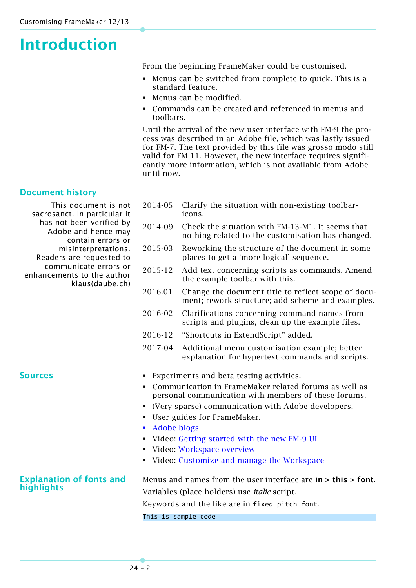# <span id="page-1-1"></span><span id="page-1-0"></span>**Introduction**

From the beginning FrameMaker could be customised.

- Menus can be switched from complete to quick. This is a standard feature.
- Menus can be modified.
- Commands can be created and referenced in menus and toolbars.

Until the arrival of the new user interface with FM-9 the process was described in an Adobe file, which was lastly issued for FM-7. The text provided by this file was grosso modo still valid for FM 11. However, the new interface requires significantly more information, which is not available from Adobe until now.

### **Document history**

This document is not sacrosanct. In particular it has not been verified by Adobe and hence may contain errors or misinterpretations. Readers are requested to communicate errors or enhancements to the author klaus(daube.ch)

- 2014-05 Clarify the situation with non-existing toolbaricons.
- 2014-09 Check the situation with FM-13-M1. It seems that nothing related to the customisation has changed.
- 2015-03 Reworking the structure of the document in some places to get a 'more logical' sequence.
- 2015-12 Add text concerning scripts as commands. Amend the example toolbar with this.
- 2016.01 Change the document title to reflect scope of document; rework structure; add scheme and examples.
- 2016-02 Clarifications concerning command names from scripts and plugins, clean up the example files.
- 2016-12 "Shortcuts in ExtendScript" added.
- 2017-04 Additional menu customisation example; better explanation for hypertext commands and scripts.

- **Sources Experiments and beta testing activities. EXPERIMENT: EXPERIMENT: EXPERIMENT: EXPERIMENT: EXPERIMENT: EXPERIMENT: EXPERIMENT: EXPERIMENT: EXPERIMENT: EXPERIMENT: EXPERIMENT: EXPERIMENT:**
	- Communication in FrameMaker related forums as well as personal communication with members of these forums.
	- (Very sparse) communication with Adobe developers.
	- User guides for FrameMaker.
	- [Adobe blogs](http://blogs.adobe.com/techcomm/)
	- Video: [Getting started with the new FM-9 UI](https://admin.adobe.acrobat.com/_a295153/p17912987/)
	- Video: [Workspace overview](http://help.adobe.com/en_US/FrameMaker/9.0/Using/WSC489C733-22A5-4271-B024-8B8DFF7238F9.html)
	- Video: [Customize and manage the Workspace](http://help.adobe.com/en_US/FrameMaker/9.0/Using/WS7276CAA0-156D-4e8c-AF4C-DD12CB3B29E7.html)

#### **Explanation of fonts and highlights**

Menus and names from the user interface are **in > this > font**. Variables (place holders) use *italic* script. Keywords and the like are in fixed pitch font. This is sample code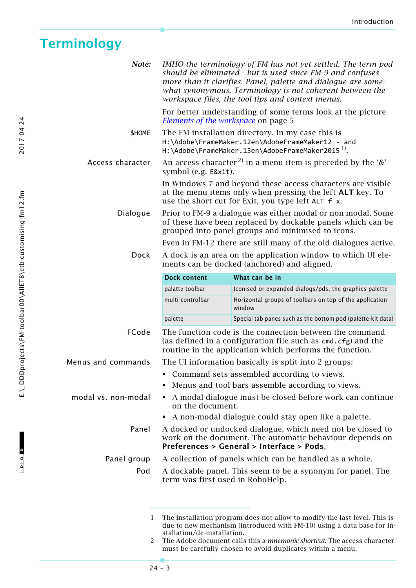## <span id="page-2-0"></span>**Terminology**

| Note:                                                         | IMHO the terminology of FM has not yet settled. The term pod<br>should be eliminated - but is used since FM-9 and confuses<br>more than it clarifies. Panel, palette and dialogue are some-<br>what synonymous. Terminology is not coherent between the<br>workspace files, the tool tips and context menus. |                                                                                                                                                                                    |  |
|---------------------------------------------------------------|--------------------------------------------------------------------------------------------------------------------------------------------------------------------------------------------------------------------------------------------------------------------------------------------------------------|------------------------------------------------------------------------------------------------------------------------------------------------------------------------------------|--|
|                                                               | For better understanding of some terms look at the picture<br><i>Elements of the workspace</i> on page 5                                                                                                                                                                                                     |                                                                                                                                                                                    |  |
| \$HOME                                                        | The FM installation directory. In my case this is<br>H:\Adobe\FrameMaker.12en\AdobeFrameMaker12 - and<br>H:\Adobe\FrameMaker.13en\AdobeFrameMaker2015 <sup>1)</sup> .                                                                                                                                        |                                                                                                                                                                                    |  |
| Access character                                              | An access character <sup>2)</sup> in a menu item is preceded by the '&'<br>symbol (e.g. E&xit).                                                                                                                                                                                                              |                                                                                                                                                                                    |  |
|                                                               | In Windows 7 and beyond these access characters are visible<br>at the menu items only when pressing the left ALT key. To<br>use the short cut for Exit, you type left ALT f x.                                                                                                                               |                                                                                                                                                                                    |  |
| Dialogue<br>grouped into panel groups and minimised to icons. |                                                                                                                                                                                                                                                                                                              | Prior to FM-9 a dialogue was either modal or non modal. Some<br>of these have been replaced by dockable panels which can be                                                        |  |
|                                                               |                                                                                                                                                                                                                                                                                                              | Even in FM-12 there are still many of the old dialogues active.                                                                                                                    |  |
| Dock                                                          | A dock is an area on the application window to which UI ele-<br>ments can be docked (anchored) and aligned.                                                                                                                                                                                                  |                                                                                                                                                                                    |  |
|                                                               | <b>Dock content</b>                                                                                                                                                                                                                                                                                          | What can be in                                                                                                                                                                     |  |
|                                                               | palatte toolbar                                                                                                                                                                                                                                                                                              | Iconised or expanded dialogs/pds, the graphics palette                                                                                                                             |  |
|                                                               |                                                                                                                                                                                                                                                                                                              |                                                                                                                                                                                    |  |
|                                                               | multi-controlbar                                                                                                                                                                                                                                                                                             | Horizontal groups of toolbars on top of the application<br>window                                                                                                                  |  |
|                                                               | palette                                                                                                                                                                                                                                                                                                      | Special tab panes such as the bottom pod (palette-kit data)                                                                                                                        |  |
| FCode                                                         |                                                                                                                                                                                                                                                                                                              | The function code is the connection between the command<br>(as defined in a configuration file such as cmd.cfg) and the<br>routine in the application which performs the function. |  |
| Menus and commands                                            |                                                                                                                                                                                                                                                                                                              | The UI information basically is split into 2 groups:                                                                                                                               |  |
|                                                               |                                                                                                                                                                                                                                                                                                              | Command sets assembled according to views.                                                                                                                                         |  |
|                                                               |                                                                                                                                                                                                                                                                                                              | Menus and tool bars assemble according to views.                                                                                                                                   |  |
| modal vs. non-modal                                           | $\blacksquare$<br>on the document.                                                                                                                                                                                                                                                                           | A modal dialogue must be closed before work can continue                                                                                                                           |  |
|                                                               |                                                                                                                                                                                                                                                                                                              | A non-modal dialogue could stay open like a palette.                                                                                                                               |  |
| Panel                                                         |                                                                                                                                                                                                                                                                                                              | A docked or undocked dialogue, which need not be closed to<br>work on the document. The automatic behaviour depends on<br>Preferences > General > Interface > Pods.                |  |
| Panel group                                                   |                                                                                                                                                                                                                                                                                                              | A collection of panels which can be handled as a whole.                                                                                                                            |  |
| Pod                                                           | term was first used in RoboHelp.                                                                                                                                                                                                                                                                             | A dockable panel. This seem to be a synonym for panel. The                                                                                                                         |  |

<sup>1</sup> The installation program does not allow to modify the last level. This is due to new mechanism (introduced with FM-10) using a data base for installation/de-installation.

<sup>2</sup> The Adobe document calls this a *mnemonic shortcut*. The access character must be carefully chosen to avoid duplicates within a menu.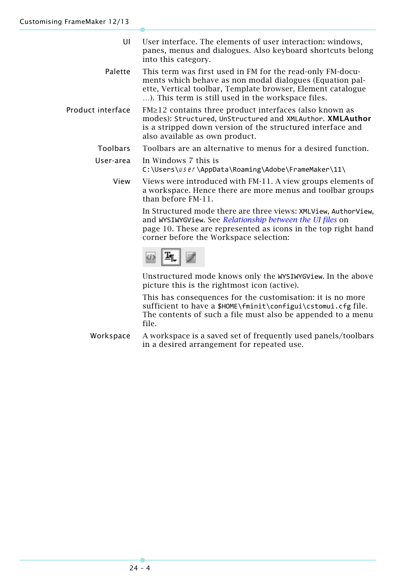- UI User interface. The elements of user interaction: windows, panes, menus and dialogues. Also keyboard shortcuts belong into this category.
- Palette This term was first used in FM for the read-only FM-documents which behave as non modal dialogues (Equation palette, Vertical toolbar, Template browser, Element catalogue …). This term is still used in the workspace files.
- Product interface FM≥12 contains three product interfaces (also known as modes): Structured, UnStructured and XMLAuthor. **XMLAuthor** is a stripped down version of the structured interface and also available as own product.
	- Toolbars Toolbars are an alternative to menus for a desired function.
	- User-area In Windows 7 this is C:\Users\*user*\AppData\Roaming\Adobe\FrameMaker\11\
		- View Views were introduced with FM-11. A view groups elements of a workspace. Hence there are more menus and toolbar groups than before FM-11.

In Structured mode there are three views: XMLView, AuthorView, and WYSIWYGView. See *[Relationship between the UI files](#page-9-0)* on [page 10](#page-9-0). These are represented as icons in the top right hand corner before the Workspace selection:



Unstructured mode knows only the WYSIWYGView. In the above picture this is the rightmost icon (active).

This has consequences for the customisation: it is no more sufficient to have a \$HOME\fminit\configui\cstomui.cfg file. The contents of such a file must also be appended to a menu file.

Workspace A workspace is a saved set of frequently used panels/toolbars in a desired arrangement for repeated use.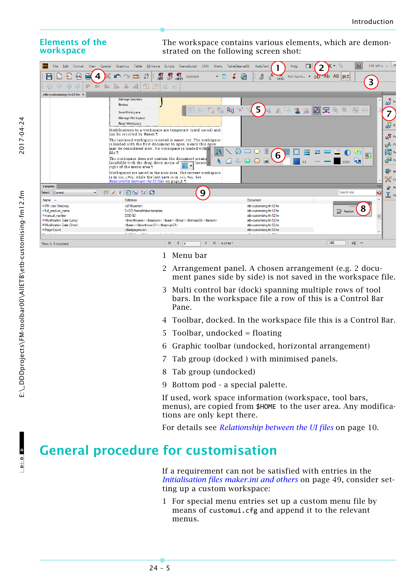#### <span id="page-4-1"></span>**Elements of the workspace**

The workspace contains various elements, which are demonstrated on the following screen shot:



- 1 Menu bar
- 2 Arrangement panel. A chosen arrangement (e.g. 2 document panes side by side) is not saved in the workspace file.
- 3 Multi control bar (dock) spanning multiple rows of tool bars. In the workspace file a row of this is a Control Bar Pane.
- 4 Toolbar, docked. In the workspace file this is a Control Bar.
- 5 Toolbar, undocked = floating
- 6 Graphic toolbar (undocked, horizontal arrangement)
- 7 Tab group (docked ) with minimised panels.
- 8 Tab group (undocked)
- 9 Bottom pod a special palette.

If used, work space information (workspace, tool bars, menus), are copied from \$HOME to the user area. Any modifications are only kept there.

For details see *[Relationship between the UI files](#page-9-0)* on page 10.

## <span id="page-4-0"></span>**General procedure for customisation**

If a requirement can not be satisfied with entries in the *[Initialisation files maker.ini and others](#page-48-0)* on page 49, consider setting up a custom workspace:

1 For special menu entries set up a custom menu file by means of customui.cfg and append it to the relevant menus.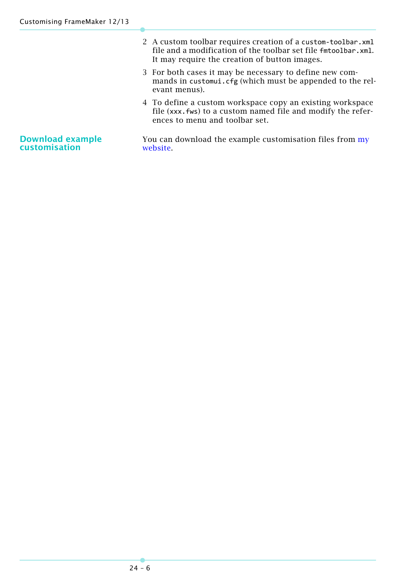| 2 A custom toolbar requires creation of a custom-toolbar.xml   |
|----------------------------------------------------------------|
| file and a modification of the toolbar set file fmtoolbar.xml. |
| It may require the creation of button images.                  |

- 3 For both cases it may be necessary to define new commands in customui.cfg (which must be appended to the relevant menus).
- 4 To define a custom workspace copy an existing workspace file (xxx.fws) to a custom named file and modify the references to menu and toolbar set.

#### **Download example customisation**

You can download the example customisation files from my [website.](http://daube.ch/docu/files/FM-customisation-example.zip)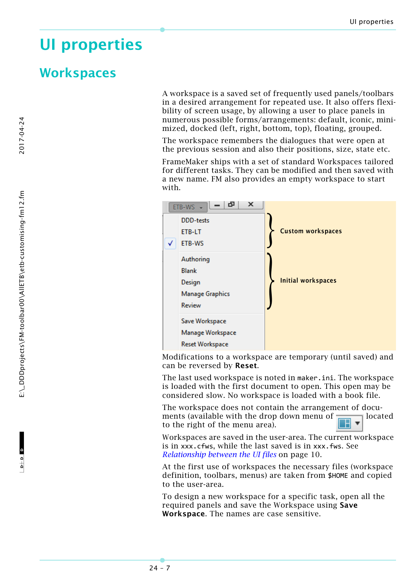## <span id="page-6-0"></span>**UI properties**

### <span id="page-6-1"></span>**Workspaces**

A workspace is a saved set of frequently used panels/toolbars in a desired arrangement for repeated use. It also offers flexibility of screen usage, by allowing a user to place panels in numerous possible forms/arrangements: default, iconic, minimized, docked (left, right, bottom, top), floating, grouped.

The workspace remembers the dialogues that were open at the previous session and also their positions, size, state etc.

FrameMaker ships with a set of standard Workspaces tailored for different tasks. They can be modified and then saved with a new name. FM also provides an empty workspace to start with.

|   | ×<br>æ<br>ETB-WS +     |                           |
|---|------------------------|---------------------------|
|   | <b>DDD-tests</b>       |                           |
|   | ETB-LT                 | <b>Custom workspaces</b>  |
| ✓ | <b>ETB-WS</b>          |                           |
|   | Authoring              |                           |
|   | <b>Blank</b>           |                           |
|   | Design                 | <b>Initial workspaces</b> |
|   | <b>Manage Graphics</b> |                           |
|   | Review                 |                           |
|   | Save Workspace         |                           |
|   | Manage Workspace       |                           |
|   | <b>Reset Workspace</b> |                           |

Modifications to a workspace are temporary (until saved) and can be reversed by **Reset**.

The last used workspace is noted in maker.ini. The workspace is loaded with the first document to open. This open may be considered slow. No workspace is loaded with a book file.

The workspace does not contain the arrangement of documents (available with the drop down menu of  $\frac{1}{\sqrt{1-\frac{1}{n}}}\$ located to the right of the menu area).

Workspaces are saved in the user-area. The current workspace is in xxx.cfws, while the last saved is in xxx.fws. See *[Relationship between the UI files](#page-9-0)* on page 10.

At the first use of workspaces the necessary files (workspace definition, toolbars, menus) are taken from \$HOME and copied to the user-area.

To design a new workspace for a specific task, open all the required panels and save the Workspace using **Save Workspace**. The names are case sensitive.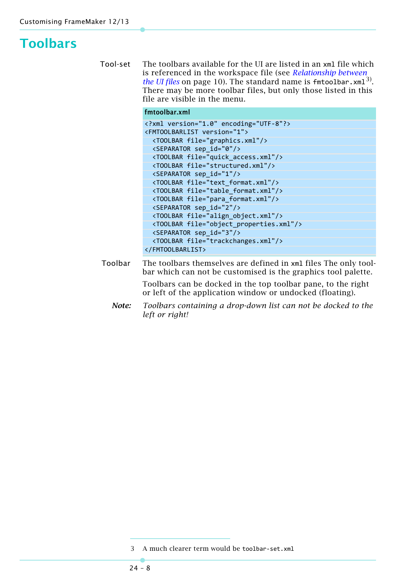## <span id="page-7-0"></span>**Toolbars**

Tool-set The toolbars available for the UI are listed in an xml file which is referenced in the workspace file (see *[Relationship between](#page-9-0)  the UI files* [on page 10\)](#page-9-0). The standard name is fmtoolbar.xml<sup>3)</sup>. There may be more toolbar files, but only those listed in this file are visible in the menu.

#### fmtoolbar.xml

|         | xml version="1.0" encoding="UTF-8"?                                                                                              |
|---------|----------------------------------------------------------------------------------------------------------------------------------|
|         | <fmtoolbarlist version="1"></fmtoolbarlist>                                                                                      |
|         | <toolbar file="graphics.xml"></toolbar>                                                                                          |
|         | <separator id="0" sep=""></separator>                                                                                            |
|         | <toolbar file="quick access.xml"></toolbar>                                                                                      |
|         | <toolbar file="structured.xml"></toolbar>                                                                                        |
|         | <separator id="1" sep=""></separator>                                                                                            |
|         | <toolbar file="text_format.xml"></toolbar>                                                                                       |
|         | <toolbar file="table format.xml"></toolbar>                                                                                      |
|         | <toolbar file="para_format.xml"></toolbar>                                                                                       |
|         | <separator id="2" sep=""></separator>                                                                                            |
|         | <toolbar file="align object.xml"></toolbar>                                                                                      |
|         | <toolbar file="object properties.xml"></toolbar>                                                                                 |
|         | <separator id="3" sep=""></separator>                                                                                            |
|         | <toolbar file="trackchanges.xml"></toolbar>                                                                                      |
|         |                                                                                                                                  |
| Toolbar | The toolbars themselves are defined in xml files The only tool-<br>bar which can not be customised is the graphics tool palette. |
|         | Toolbars can be docked in the top toolbar pane, to the right<br>or left of the application window or undocked (floating).        |

*Note: Toolbars containing a drop-down list can not be docked to the left or right!*

<sup>3</sup> A much clearer term would be toolbar-set.xml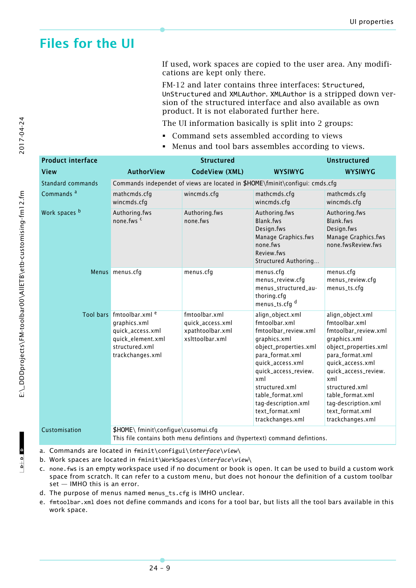## <span id="page-8-0"></span>**Files for the UI**

If used, work spaces are copied to the user area. Any modifications are kept only there.

FM-12 and later contains three interfaces: Structured, UnStructured and XMLAuthor. XMLAuthor is a stripped down version of the structured interface and also available as own product. It is not elaborated further here.

The UI information basically is split into 2 groups:

- Command sets assembled according to views
- Menus and tool bars assembles according to views.

| <b>Product interface</b> |                                                                                                                          | <b>Structured</b>                                                        |                                                                                                                                                                                                                                                                              | <b>Unstructured</b>                                                                                                                                                                                                                                                          |
|--------------------------|--------------------------------------------------------------------------------------------------------------------------|--------------------------------------------------------------------------|------------------------------------------------------------------------------------------------------------------------------------------------------------------------------------------------------------------------------------------------------------------------------|------------------------------------------------------------------------------------------------------------------------------------------------------------------------------------------------------------------------------------------------------------------------------|
| View                     | <b>AuthorView</b>                                                                                                        | <b>CodeView (XML)</b>                                                    | <b>WYSIWYG</b>                                                                                                                                                                                                                                                               | <b>WYSIWYG</b>                                                                                                                                                                                                                                                               |
| Standard commands        |                                                                                                                          |                                                                          | Commands independet of views are located in \$HOME\fminit\configui: cmds.cfg                                                                                                                                                                                                 |                                                                                                                                                                                                                                                                              |
| Commands <sup>a</sup>    | mathcmds.cfg<br>wincmds.cfg                                                                                              | wincmds.cfg                                                              | mathcmds.cfg<br>wincmds.cfg                                                                                                                                                                                                                                                  | mathcmds.cfg<br>wincmds.cfg                                                                                                                                                                                                                                                  |
| Work spaces <sup>b</sup> | Authoring.fws<br>none.fws <sup>c</sup>                                                                                   | Authoring.fws<br>none.fws                                                | Authoring.fws<br>Blank.fws<br>Design.fws<br>Manage Graphics.fws<br>none.fws<br>Review.fws<br>Structured Authoring                                                                                                                                                            | Authoring.fws<br><b>Blank.fws</b><br>Design.fws<br>Manage Graphics.fws<br>none.fwsReview.fws                                                                                                                                                                                 |
|                          | Menus menus.cfg                                                                                                          | menus.cfg                                                                | menus.cfg<br>menus_review.cfg<br>menus_structured_au-<br>thoring.cfg<br>menus_ts.cfg <sup>d</sup>                                                                                                                                                                            | menus.cfg<br>menus_review.cfg<br>menus_ts.cfg                                                                                                                                                                                                                                |
|                          | Tool bars fmtoolbar.xml e<br>graphics.xml<br>quick_access.xml<br>quick_element.xml<br>structured.xml<br>trackchanges.xml | fmtoolbar.xml<br>quick_access.xml<br>xpathtoolbar.xml<br>xslttoolbar.xml | align_object.xml<br>fmtoolbar.xml<br>fmtoolbar_review.xml<br>graphics.xml<br>object_properties.xml<br>para_format.xml<br>quick_access.xml<br>quick_access_review.<br>xml<br>structured.xml<br>table_format.xml<br>tag-description.xml<br>text_format.xml<br>trackchanges.xml | align_object.xml<br>fmtoolbar.xml<br>fmtoolbar_review.xml<br>graphics.xml<br>object_properties.xml<br>para_format.xml<br>quick_access.xml<br>quick_access_review.<br>xml<br>structured.xml<br>table_format.xml<br>tag-description.xml<br>text_format.xml<br>trackchanges.xml |
| Customisation            | \$HOME\fminit\configue\cusomui.cfg                                                                                       |                                                                          |                                                                                                                                                                                                                                                                              |                                                                                                                                                                                                                                                                              |

This file contains both menu defintions and (hypertext) command defintions.

a. Commands are located in fminit\configui\*interface*\*view*\

b. Work spaces are located in fminit\WorkSpaces\*interface*\*view*\

- <span id="page-8-1"></span>c. none.fws is an empty workspace used if no document or book is open. It can be used to build a custom work space from scratch. It can refer to a custom menu, but does not honour the definition of a custom toolbar set — IMHO this is an error.
- d. The purpose of menus named menus ts.cfg is IMHO unclear.
- e. fmtoolbar.xml does not define commands and icons for a tool bar, but lists all the tool bars available in this work space.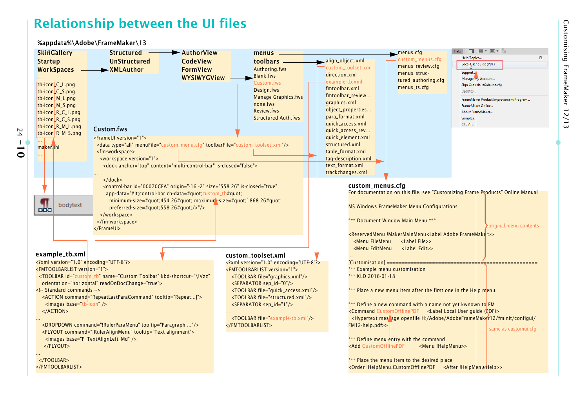### **Relationship between the UI files**

<span id="page-9-0"></span>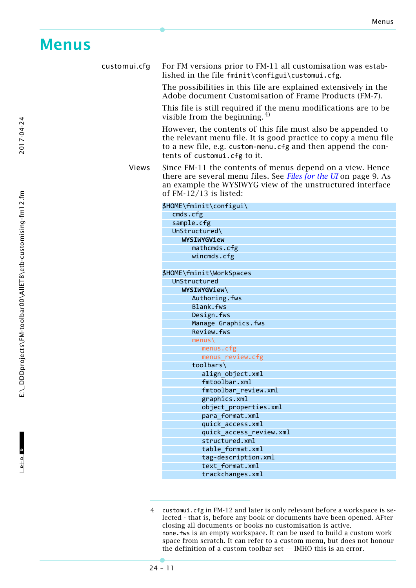## <span id="page-10-0"></span>**Menus**

customui.cfg For FM versions prior to FM-11 all customisation was established in the file fminit\configui\customui.cfg.

> The possibilities in this file are explained extensively in the Adobe document Customisation of Frame Products (FM-7).

This file is still required if the menu modifications are to be visible from the beginning.  $4$ )

However, the contents of this file must also be appended to the relevant menu file. It is good practice to copy a menu file to a new file, e.g. custom-menu.cfg and then append the contents of customui.cfg to it.

Views Since FM-11 the contents of menus depend on a view. Hence there are several menu files. See *[Files for the UI](#page-8-0)* on page 9. As an example the WYSIWYG view of the unstructured interface of FM-12/13 is listed:

| \$HOME\fminit\configui\  |
|--------------------------|
| cmds. cfg                |
| sample.cfg               |
| UnStructured\            |
| WYSIWYGView              |
| mathcmds.cfg             |
| wincmds.cfg              |
|                          |
| \$HOME\fminit\WorkSpaces |
| UnStructured             |
| WYSIWYGView\             |
| Authoring.fws            |
| Blank.fws                |
| Design.fws               |
| Manage Graphics.fws      |
| Review.fws               |
| $menus \$                |
| menus.cfg                |
| menus_review.cfg         |
| toolbars\                |
| align object.xml         |
| fmtoolbar.xml            |
| fmtoolbar review.xml     |
| graphics.xml             |
| object_properties.xml    |
| para_format.xml          |
| quick access.xml         |
| quick access review.xml  |
| structured.xml           |
| table format.xml         |
| tag-description.xml      |
| text format.xml          |
| trackchanges.xml         |

<sup>4</sup> customui.cfg in FM-12 and later is only relevant before a workspace is selected - that is, before any book or documents have been opened. AFter closing all documents or books no customisation is active. none.fws is an empty workspace. It can be used to build a custom work space from scratch. It can refer to a custom menu, but does not honour the definition of a custom toolbar set — IMHO this is an error.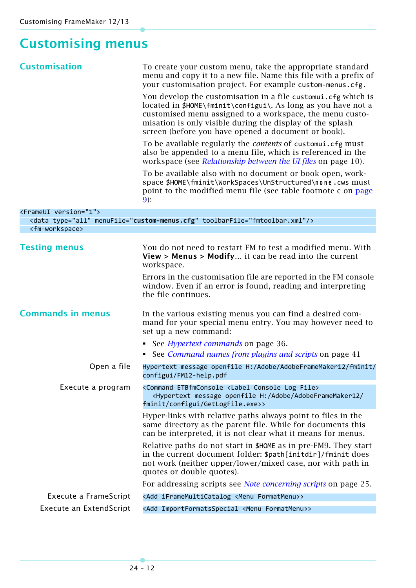## <span id="page-11-0"></span>**Customising menus**

| <b>Customisation</b>            | To create your custom menu, take the appropriate standard<br>menu and copy it to a new file. Name this file with a prefix of<br>your customisation project. For example custom-menus.cfg.                                                                                                                      |  |  |
|---------------------------------|----------------------------------------------------------------------------------------------------------------------------------------------------------------------------------------------------------------------------------------------------------------------------------------------------------------|--|--|
|                                 | You develop the customisation in a file customui.cfg which is<br>located in \$HOME\fminit\configui\. As long as you have not a<br>customised menu assigned to a workspace, the menu custo-<br>misation is only visible during the display of the splash<br>screen (before you have opened a document or book). |  |  |
|                                 | To be available regularly the contents of customui.cfg must<br>also be appended to a menu file, which is referenced in the<br>workspace (see Relationship between the UI files on page 10).                                                                                                                    |  |  |
|                                 | To be available also with no document or book open, work-<br>space \$HOME\fminit\WorkSpaces\UnStructured\none.cws must<br>point to the modified menu file (see table footnote c on page<br>$9)$ :                                                                                                              |  |  |
| <frameui version="1"></frameui> |                                                                                                                                                                                                                                                                                                                |  |  |
| <fm-workspace></fm-workspace>   | <data menufile="custom-menus.cfg" toolbarfile="fmtoolbar.xml" type="all"></data>                                                                                                                                                                                                                               |  |  |
|                                 |                                                                                                                                                                                                                                                                                                                |  |  |
| <b>Testing menus</b>            | You do not need to restart FM to test a modified menu. With<br><b>View &gt; Menus &gt; Modify</b> it can be read into the current<br>workspace.                                                                                                                                                                |  |  |
|                                 | Errors in the customisation file are reported in the FM console<br>window. Even if an error is found, reading and interpreting<br>the file continues.                                                                                                                                                          |  |  |
| <b>Commands in menus</b>        | In the various existing menus you can find a desired com-<br>mand for your special menu entry. You may however need to<br>set up a new command:                                                                                                                                                                |  |  |
|                                 | • See <i>Hypertext commands</i> on page 36.                                                                                                                                                                                                                                                                    |  |  |
|                                 | See <i>Command names from plugins and scripts</i> on page 41                                                                                                                                                                                                                                                   |  |  |
| Open a file                     | Hypertext message openfile H:/Adobe/AdobeFrameMaker12/fminit/<br>configui/FM12-help.pdf                                                                                                                                                                                                                        |  |  |
| Execute a program               | <command <label="" console="" etbfmconsole="" file="" log=""/><br><hypertext <br="" adobe="" adobeframemaker12="" h:="" message="" openfile="">fminit/configui/GetLogFile.exe&gt;&gt;</hypertext>                                                                                                              |  |  |
|                                 | Hyper-links with relative paths always point to files in the<br>same directory as the parent file. While for documents this<br>can be interpreted, it is not clear what it means for menus.                                                                                                                    |  |  |
|                                 | Relative paths do not start in \$HOME as in pre-FM9. They start<br>in the current document folder: \$path[initdir]/fminit does<br>not work (neither upper/lower/mixed case, nor with path in<br>quotes or double quotes).                                                                                      |  |  |
|                                 | For addressing scripts see Note concerning scripts on page 25.                                                                                                                                                                                                                                                 |  |  |
| Execute a FrameScript           | <add <menu="" formatmenu="" iframemulticatalog="">&gt;</add>                                                                                                                                                                                                                                                   |  |  |
| Execute an ExtendScript         | <add <menu="" formatmenu="" importformatsspecial="">&gt;</add>                                                                                                                                                                                                                                                 |  |  |
|                                 |                                                                                                                                                                                                                                                                                                                |  |  |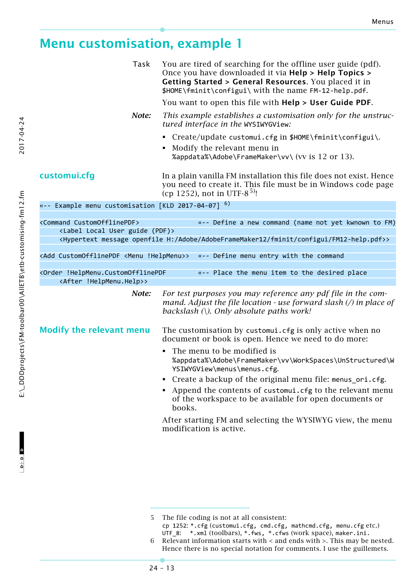## <span id="page-12-0"></span>**Menu customisation, example 1**

| Task<br>Note:                                                                         | You are tired of searching for the offline user guide (pdf).<br>Once you have downloaded it via Help > Help Topics ><br>Getting Started > General Resources. You placed it in<br>\$HOME\fminit\configui\ with the name FM-12-help.pdf.<br>You want to open this file with Help > User Guide PDF.<br>This example establishes a customisation only for the unstruc- |
|---------------------------------------------------------------------------------------|--------------------------------------------------------------------------------------------------------------------------------------------------------------------------------------------------------------------------------------------------------------------------------------------------------------------------------------------------------------------|
|                                                                                       | tured interface in the WYSIWYGView:<br>■ Create/update customui.cfg in \$HOME\fminit\configui\.<br>Modify the relevant menu in<br>%appdata%\Adobe\FrameMaker\vv\ (vv is 12 or 13).                                                                                                                                                                                 |
| customui.cfg                                                                          | In a plain vanilla FM installation this file does not exist. Hence<br>you need to create it. This file must be in Windows code page<br>(cp 1252), not in UTF-8 <sup>5)</sup> !                                                                                                                                                                                     |
| «-- Example menu customisation [KLD 2017-04-07]                                       | 6)                                                                                                                                                                                                                                                                                                                                                                 |
| <command customofflinepdf=""/><br><label (pdf)="" guide="" local="" user=""></label>  | «-- Define a new command (name not yet kwnown to FM)<br><hypertext adobe="" adobeframemaker12="" configui="" fm12-help.pdf="" fminit="" h:="" message="" openfile="">&gt;</hypertext>                                                                                                                                                                              |
|                                                                                       | <add !helpmenu="" <menu="" customofflinepdf="">&gt; «-- Define menu entry with the command</add>                                                                                                                                                                                                                                                                   |
| <order !helpmenu.customofflinepdf<br=""><after !helpmenu.help="">&gt;</after></order> | «-- Place the menu item to the desired place                                                                                                                                                                                                                                                                                                                       |
| Note:                                                                                 | For test purposes you may reference any pdf file in the com-<br>mand. Adjust the file location - use forward slash $\langle \rangle$ in place of<br>backslash $\langle \rangle$ . Only absolute paths work!                                                                                                                                                        |
| <b>Modify the relevant menu</b>                                                       | The customisation by customui.cfg is only active when no<br>document or book is open. Hence we need to do more:                                                                                                                                                                                                                                                    |
|                                                                                       | The menu to be modified is<br>%appdata%\Adobe\FrameMaker\vv\WorkSpaces\UnStructured\W<br>YSIWYGView\menus\menus.cfg.                                                                                                                                                                                                                                               |
|                                                                                       | Create a backup of the original menu file: menus_ori.cfg.<br>Append the contents of customui.cfg to the relevant menu<br>of the workspace to be available for open documents or<br>books.                                                                                                                                                                          |
|                                                                                       | After starting FM and selecting the WYSIWYG view, the menu<br>modification is active.                                                                                                                                                                                                                                                                              |

5 The file coding is not at all consistent: cp 1252: \*.cfg (customui.cfg, cmd.cfg, mathcmd.cfg, menu.cfg etc.) UTF\_8: \*.xml (toolbars), \*.fws, \*.cfws (work space), maker.ini.

6 Relevant information starts with  $\lt$  and ends with  $\gt$ . This may be nested. Hence there is no special notation for comments. I use the guillemets.

24 – 13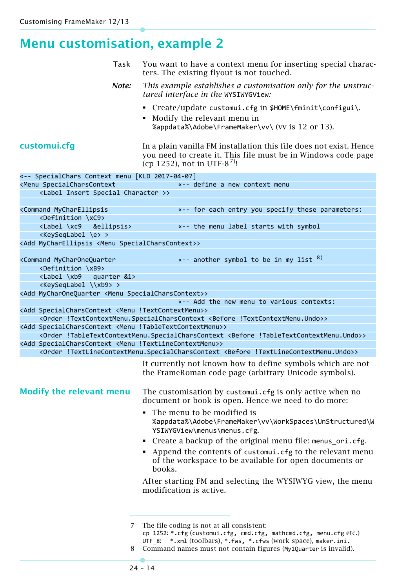## <span id="page-13-0"></span>**Menu customisation, example 2**

| Task                                                                                                                      | You want to have a context menu for inserting special charac-<br>ters. The existing flyout is not touched.                                                                          |
|---------------------------------------------------------------------------------------------------------------------------|-------------------------------------------------------------------------------------------------------------------------------------------------------------------------------------|
| Note:                                                                                                                     | This example establishes a customisation only for the unstruc-<br>tured interface in the WYSIWYGView:                                                                               |
|                                                                                                                           | • Create/update customui.cfg in \$HOME\fminit\configui\.<br>• Modify the relevant menu in<br>%appdata%\Adobe\FrameMaker\vv\ (vv is 12 or 13).                                       |
| customui.cfg                                                                                                              | In a plain vanilla FM installation this file does not exist. Hence<br>you need to create it. This file must be in Windows code page<br>(cp 1252), not in UTF-8 <sup>7)</sup> !      |
| «-- SpecialChars Context menu [KLD 2017-04-07]                                                                            |                                                                                                                                                                                     |
| <menu specialcharscontext<="" td=""><td>«-- define a new context menu</td></menu>                                         | «-- define a new context menu                                                                                                                                                       |
| <label character="" insert="" special="">&gt;</label>                                                                     |                                                                                                                                                                                     |
|                                                                                                                           |                                                                                                                                                                                     |
| <command mycharellipsis<="" td=""/> <td>«-- for each entry you specify these parameters:</td>                             | «-- for each entry you specify these parameters:                                                                                                                                    |
| <definition \xc9=""></definition>                                                                                         |                                                                                                                                                                                     |
| <label \xc9<br="">&amp;ellipsis&gt;<br/><keyseqlabel \e=""> &gt;</keyseqlabel></label>                                    | «-- the menu label starts with symbol                                                                                                                                               |
| <add <menu="" mycharellipsis="" specialcharscontext="">&gt;</add>                                                         |                                                                                                                                                                                     |
|                                                                                                                           |                                                                                                                                                                                     |
| <command mycharonequarter<="" th=""/> <th><math>\kappa</math>-- another symbol to be in my list <math>\delta</math>)</th> | $\kappa$ -- another symbol to be in my list $\delta$ )                                                                                                                              |
| <definition \xb9=""></definition>                                                                                         |                                                                                                                                                                                     |
| <label \xb9<br="">quarter &amp;1&gt;</label>                                                                              |                                                                                                                                                                                     |
| <keyseqlabel \\xb9=""> &gt;</keyseqlabel>                                                                                 |                                                                                                                                                                                     |
| <add <menu="" mycharonequarter="" specialcharscontext="">&gt;</add>                                                       |                                                                                                                                                                                     |
|                                                                                                                           | «-- Add the new menu to various contexts:                                                                                                                                           |
| <add !textcontextmenu="" <menu="" specialcharscontext="">&gt;</add>                                                       |                                                                                                                                                                                     |
|                                                                                                                           | <order !textcontextmenu.specialcharscontext="" !textcontextmenu.undo="" <before="">&gt;</order>                                                                                     |
| <add !tabletextcontextmenu="" <menu="" specialcharscontext="">&gt;</add>                                                  |                                                                                                                                                                                     |
|                                                                                                                           | <order !tabletextcontextmenu.specialcharscontext="" !tabletextcontextmenu.undo="" <before="">&gt;</order>                                                                           |
| <add !textlinecontextmenu="" <menu="" specialcharscontext="">&gt;</add>                                                   |                                                                                                                                                                                     |
|                                                                                                                           | <order !textlinecontextmenu.specialcharscontext="" !textlinecontextmenu.undo="" <before="">&gt;</order>                                                                             |
|                                                                                                                           | It currently not known how to define symbols which are not<br>the FrameRoman code page (arbitrary Unicode symbols).                                                                 |
| <b>Modify the relevant menu</b>                                                                                           | The customisation by customui.cfg is only active when no<br>document or book is open. Hence we need to do more:                                                                     |
|                                                                                                                           | The menu to be modified is<br>%appdata%\Adobe\FrameMaker\vv\WorkSpaces\UnStructured\W<br>YSIWYGView\menus\menus.cfg.                                                                |
|                                                                                                                           | • Create a backup of the original menu file: menus_ori.cfg.                                                                                                                         |
|                                                                                                                           | Append the contents of customui.cfg to the relevant menu<br>of the workspace to be available for open documents or<br>books.                                                        |
|                                                                                                                           | After starting FM and selecting the WYSIWYG view, the menu<br>modification is active.                                                                                               |
| 7                                                                                                                         | The file coding is not at all consistent:<br>cp 1252: *. cfg (customui.cfg, cmd.cfg, mathcmd.cfg, menu.cfg etc.)<br>UTF_8: *.xml (toolbars), *.fws, *.cfws (work space), maker.ini. |

<sup>8</sup> Command names must not contain figures (My1Quarter is invalid).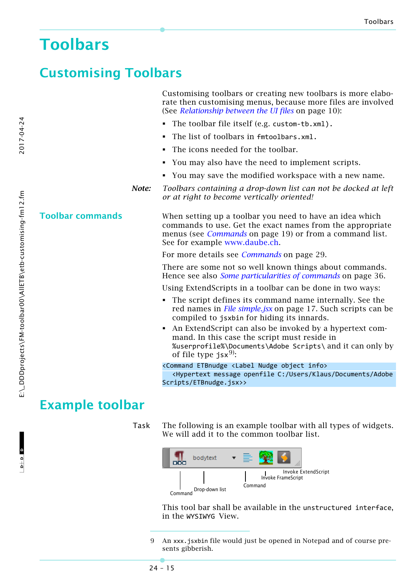# <span id="page-14-0"></span>**Toolbars**

## <span id="page-14-1"></span>**Customising Toolbars**

Customising toolbars or creating new toolbars is more elaborate then customising menus, because more files are involved (See *[Relationship between the UI files](#page-9-0)* on page 10):

- The toolbar file itself (e.g. custom-tb.xml).
- The list of toolbars in fmtoolbars.xml.
- The icons needed for the toolbar.
- You may also have the need to implement scripts.
- You may save the modified workspace with a new name.
- *Note: Toolbars containing a drop-down list can not be docked at left or at right to become vertically oriented!*

**Toolbar commands** When setting up a toolbar you need to have an idea which commands to use. Get the exact names from the appropriate menus (see *Commands* [on page 19](#page-18-1)) or from a command list. See for example [www.daube.ch](http://www.daube.ch/docu/fmaker00.html#specialdoc).

For more details see *Commands* [on page 29](#page-28-0).

There are some not so well known things about commands. Hence see also *[Some particularities of commands](#page-35-0)* on page 36.

Using ExtendScripts in a toolbar can be done in two ways:

- The script defines its command name internally. See the red names in *[File simple.jsx](#page-16-0)* on page 17. Such scripts can be compiled to jsxbin for hiding its innards.
- An ExtendScript can also be invoked by a hypertext command. In this case the script must reside in %userprofile%\Documents\Adobe Scripts\ and it can only by of file type  $j$ sx<sup>9</sup>):

<Command ETBnudge <Label Nudge object info> <Hypertext message openfile C:/Users/Klaus/Documents/Adobe Scripts/ETBnudge.jsx>>

## <span id="page-14-2"></span>**Example toolbar**

Task The following is an example toolbar with all types of widgets. We will add it to the common toolbar list.



This tool bar shall be available in the unstructured interface, in the WYSIWYG View.

9 An xxx.jsxbin file would just be opened in Notepad and of course presents gibberish.

2017-04-24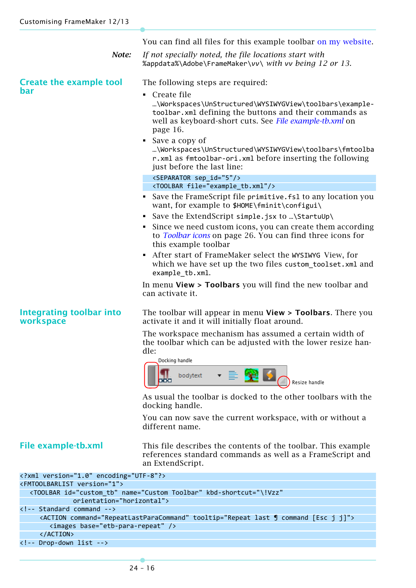|                                                                                             | You can find all files for this example toolbar on my website.                                                                                                                                                                                                                                                                                                                                                                                                                                                                                                                                                                                                                                                                                                                                                                                                                                                                                                                                                                                     |
|---------------------------------------------------------------------------------------------|----------------------------------------------------------------------------------------------------------------------------------------------------------------------------------------------------------------------------------------------------------------------------------------------------------------------------------------------------------------------------------------------------------------------------------------------------------------------------------------------------------------------------------------------------------------------------------------------------------------------------------------------------------------------------------------------------------------------------------------------------------------------------------------------------------------------------------------------------------------------------------------------------------------------------------------------------------------------------------------------------------------------------------------------------|
| Note:                                                                                       | If not specially noted, the file locations start with<br>%appdata%\Adobe\FrameMaker\vv\ with vv being 12 or 13.                                                                                                                                                                                                                                                                                                                                                                                                                                                                                                                                                                                                                                                                                                                                                                                                                                                                                                                                    |
| <b>Create the example tool</b><br>bar                                                       | The following steps are required:<br>• Create file<br>\Workspaces\UnStructured\WYSIWYGView\toolbars\example-<br>toolbar.xml defining the buttons and their commands as<br>well as keyboard-short cuts. See File example-tb.xml on<br>page 16.<br>Save a copy of<br>٠<br>\Workspaces\UnStructured\WYSIWYGView\toolbars\fmtoolba<br>r.xml as fmtoolbar-ori.xml before inserting the following<br>just before the last line:<br><separator sep_id="5"></separator><br><toolbar file="example_tb.xml"></toolbar><br>Save the FrameScript file primitive. fsl to any location you<br>٠<br>want, for example to \$HOME\fminit\configui\<br>Save the ExtendScript simple.jsx to \StartuUp\<br>Since we need custom icons, you can create them according<br>to Toolbar icons on page 26. You can find three icons for<br>this example toolbar<br>After start of FrameMaker select the WYSIWYG View, for<br>٠<br>which we have set up the two files custom_toolset.xml and<br>example_tb.xml.<br>In menu $View > Toolbox$ you will find the new toolbar and |
| Integrating toolbar into<br>workspace                                                       | can activate it.<br>The toolbar will appear in menu $View > Toolbox$ . There you<br>activate it and it will initially float around.<br>The workspace mechanism has assumed a certain width of<br>the toolbar which can be adjusted with the lower resize han-<br>dle:<br>Docking handle<br>bodytext<br>Resize handle<br>As usual the toolbar is docked to the other toolbars with the<br>docking handle.<br>You can now save the current workspace, with or without a<br>different name.                                                                                                                                                                                                                                                                                                                                                                                                                                                                                                                                                           |
| File example-tb.xml                                                                         | This file describes the contents of the toolbar. This example<br>references standard commands as well as a FrameScript and<br>an ExtendScript.                                                                                                                                                                                                                                                                                                                                                                                                                                                                                                                                                                                                                                                                                                                                                                                                                                                                                                     |
| xml version="1.0" encoding="UTF-8"?                                                         |                                                                                                                                                                                                                                                                                                                                                                                                                                                                                                                                                                                                                                                                                                                                                                                                                                                                                                                                                                                                                                                    |
| <fmt00lbarlist version="1"></fmt00lbarlist>                                                 |                                                                                                                                                                                                                                                                                                                                                                                                                                                                                                                                                                                                                                                                                                                                                                                                                                                                                                                                                                                                                                                    |
| orientation="horizontal">                                                                   | <toolbar <="" id="custom_tb" kbd-shortcut="\!Vzz" name="Custom Toolbar" th=""></toolbar>                                                                                                                                                                                                                                                                                                                                                                                                                                                                                                                                                                                                                                                                                                                                                                                                                                                                                                                                                           |
| Standard command                                                                            |                                                                                                                                                                                                                                                                                                                                                                                                                                                                                                                                                                                                                                                                                                                                                                                                                                                                                                                                                                                                                                                    |
| <action command="RepeatLastParaCommand" tooltip="Repeat last J command [Esc j j]"></action> |                                                                                                                                                                                                                                                                                                                                                                                                                                                                                                                                                                                                                                                                                                                                                                                                                                                                                                                                                                                                                                                    |
| <images base="etb-para-repeat"></images>                                                    |                                                                                                                                                                                                                                                                                                                                                                                                                                                                                                                                                                                                                                                                                                                                                                                                                                                                                                                                                                                                                                                    |
|                                                                                             |                                                                                                                                                                                                                                                                                                                                                                                                                                                                                                                                                                                                                                                                                                                                                                                                                                                                                                                                                                                                                                                    |

<span id="page-15-0"></span><!-- Drop-down list -->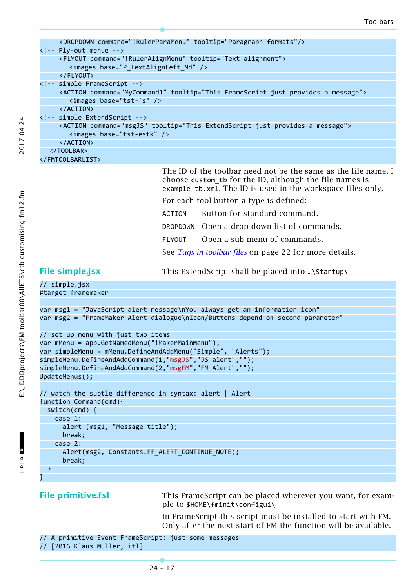| <dropdown command="!RulerParaMenu" tooltip="Paragraph formats"></dropdown>                |
|-------------------------------------------------------------------------------------------|
| $\langle$ !-- Fly-out menue -->                                                           |
| <flyout command="!RulerAlignMenu" tooltip="Text alignment"></flyout>                      |
| <images base="P_TextAlignLeft Md"></images>                                               |
|                                                                                           |
| simple FrameScript                                                                        |
| <action command="MyCommand1" tooltip="This FrameScript just provides a message"></action> |
| <images base="tst-fs"></images>                                                           |
| $\langle$ /ACTION>                                                                        |
| simple ExtendScript                                                                       |
| <action command="msgJS" tooltip="This ExtendScript just provides a message"></action>     |
| <images base="tst-estk"></images>                                                         |
|                                                                                           |
| $\langle$ /TOOLBAR>                                                                       |
|                                                                                           |
| <b>-րի մի մինչ մեկին մեկի մեկին մասնակ</b> ություններ (Կանական մեկին այն մեկ              |

The ID of the toolbar need not be the same as the file name. I choose custom\_tb for the ID, although the file names is example tb.xml. The ID is used in the workspace files only.

For each tool button a type is defined:

ACTION Button for standard command.

DROPDOWN Open a drop down list of commands.

FLYOUT Open a sub menu of commands.

See *[Tags in toolbar files](#page-21-0)* on page 22 for more details.

<span id="page-16-0"></span>**File simple.jsx** This ExtendScript shall be placed into …\Startup\

### // simple.jsx

#target framemaker

```
var msg1 = "JavaScript alert message\nYou always get an information icon"
var msg2 = "FrameMaker Alert dialogue\nIcon/Buttons depend on second parameter"
```

```
// set up menu with just two items
var mMenu = app.GetNamedMenu("!MakerMainMenu");
var simpleMenu = mMenu.DefineAndAddMenu("Simple", "Alerts");
simpleMenu.DefineAndAddCommand(1,"msgJS","JS alert","");
simpleMenu.DefineAndAddCommand(2,"msgFM","FM Alert","");
UpdateMenus();
```

```
// watch the suptle difference in syntax: alert | Alert
function Command(cmd){
  switch(cmd) {
     case 1:
       alert (msg1, "Message title");
       break;
     case 2:
      Alert(msg2, Constants.FF ALERT CONTINUE NOTE);
       break;
   }
```
### }

<span id="page-16-1"></span>**File primitive.fsl** This FrameScript can be placed wherever you want, for example to \$HOME\fminit\configui\

> In FrameScript this script must be installed to start with FM. Only after the next start of FM the function will be available.

// A primitive Event FrameScript: just some messages // [2016 Klaus Müller, itl]

2017-04-24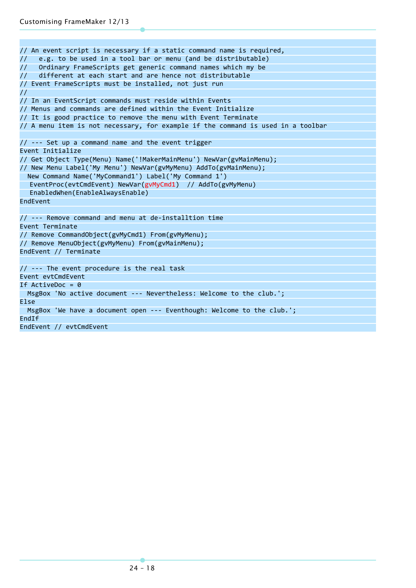// An event script is necessary if a static command name is required, // e.g. to be used in a tool bar or menu (and be distributable) // Ordinary FrameScripts get generic command names which my be // different at each start and are hence not distributable // Event FrameScripts must be installed, not just run // // In an EventScript commands must reside within Events // Menus and commands are defined within the Event Initialize // It is good practice to remove the menu with Event Terminate // A menu item is not necessary, for example if the command is used in a toolbar // --- Set up a command name and the event trigger Event Initialize // Get Object Type(Menu) Name('!MakerMainMenu') NewVar(gvMainMenu); // New Menu Label('My Menu') NewVar(gvMyMenu) AddTo(gvMainMenu); New Command Name('MyCommand1') Label('My Command 1') EventProc(evtCmdEvent) NewVar(gvMyCmd1) // AddTo(gvMyMenu) EnabledWhen(EnableAlwaysEnable) EndEvent // --- Remove command and menu at de-installtion time Event Terminate // Remove CommandObject(gvMyCmd1) From(gvMyMenu); // Remove MenuObject(gvMyMenu) From(gvMainMenu); EndEvent // Terminate // --- The event procedure is the real task Event evtCmdEvent If  $ActiveDoc = 0$  MsgBox 'No active document --- Nevertheless: Welcome to the club.'; Else MsgBox 'We have a document open --- Eventhough: Welcome to the club.'; EndIf EndEvent // evtCmdEvent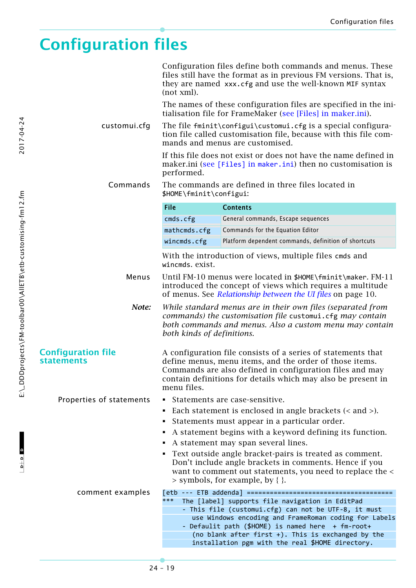# <span id="page-18-0"></span>**Configuration files**

<span id="page-18-1"></span>

|                                                | Configuration files define both commands and menus. These<br>files still have the format as in previous FM versions. That is,<br>they are named xxx.cfg and use the well-known MIF syntax<br>(not xml).                                                            |                                                                                                                                                                      |  |
|------------------------------------------------|--------------------------------------------------------------------------------------------------------------------------------------------------------------------------------------------------------------------------------------------------------------------|----------------------------------------------------------------------------------------------------------------------------------------------------------------------|--|
|                                                | The names of these configuration files are specified in the ini-<br>tialisation file for FrameMaker (see [Files] in maker.ini).                                                                                                                                    |                                                                                                                                                                      |  |
| customui.cfg                                   |                                                                                                                                                                                                                                                                    | The file fminit\configui\customui.cfg is a special configura-<br>tion file called customisation file, because with this file com-<br>mands and menus are customised. |  |
|                                                | performed.                                                                                                                                                                                                                                                         | If this file does not exist or does not have the name defined in<br>maker.ini (see [Files] in maker.ini) then no customisation is                                    |  |
| Commands                                       | \$HOME\fminit\configui:                                                                                                                                                                                                                                            | The commands are defined in three files located in                                                                                                                   |  |
|                                                | <b>File</b>                                                                                                                                                                                                                                                        | <b>Contents</b>                                                                                                                                                      |  |
|                                                | cmds.cfg                                                                                                                                                                                                                                                           | General commands, Escape sequences                                                                                                                                   |  |
|                                                | mathcmds.cfg                                                                                                                                                                                                                                                       | Commands for the Equation Editor                                                                                                                                     |  |
|                                                | wincmds.cfg                                                                                                                                                                                                                                                        | Platform dependent commands, definition of shortcuts                                                                                                                 |  |
|                                                | wincmds. exist.                                                                                                                                                                                                                                                    | With the introduction of views, multiple files cmds and                                                                                                              |  |
| Menus                                          | Until FM-10 menus were located in \$HOME\fminit\maker. FM-11<br>introduced the concept of views which requires a multitude<br>of menus. See <i>Relationship between the UI files</i> on page 10.                                                                   |                                                                                                                                                                      |  |
| Note:                                          | While standard menus are in their own files (separated from<br>commands) the customisation file customui.cfg may contain<br>both commands and menus. Also a custom menu may contain<br>both kinds of definitions.                                                  |                                                                                                                                                                      |  |
| <b>Configuration file</b><br><b>statements</b> | A configuration file consists of a series of statements that<br>define menus, menu items, and the order of those items.<br>Commands are also defined in configuration files and may<br>contain definitions for details which may also be present in<br>menu files. |                                                                                                                                                                      |  |
| Properties of statements                       |                                                                                                                                                                                                                                                                    | Statements are case-sensitive.                                                                                                                                       |  |
|                                                | Each statement is enclosed in angle brackets $(<$ and $>$ ).                                                                                                                                                                                                       |                                                                                                                                                                      |  |
|                                                |                                                                                                                                                                                                                                                                    | Statements must appear in a particular order.                                                                                                                        |  |
|                                                | A statement begins with a keyword defining its function.<br>٠                                                                                                                                                                                                      |                                                                                                                                                                      |  |
|                                                | A statement may span several lines.                                                                                                                                                                                                                                |                                                                                                                                                                      |  |
|                                                |                                                                                                                                                                                                                                                                    | Text outside angle bracket-pairs is treated as comment.<br>Don't include angle brackets in comments. Hence if you                                                    |  |
|                                                | want to comment out statements, you need to replace the <<br>$>$ symbols, for example, by { }.                                                                                                                                                                     |                                                                                                                                                                      |  |
| comment examples                               |                                                                                                                                                                                                                                                                    |                                                                                                                                                                      |  |
|                                                | ***                                                                                                                                                                                                                                                                | The [label] supports file navigation in EditPad                                                                                                                      |  |
|                                                | - This file (customui.cfg) can not be UTF-8, it must<br>use Windows encoding and FrameRoman coding for Labels                                                                                                                                                      |                                                                                                                                                                      |  |
|                                                | - Defaulit path (\$HOME) is named here + fm-root+<br>(no blank after first +). This is exchanged by the<br>installation pgm with the real \$HOME directory.                                                                                                        |                                                                                                                                                                      |  |

24 – 19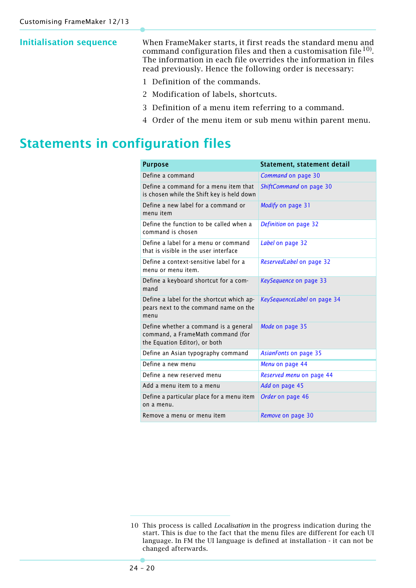**Initialisation sequence** When FrameMaker starts, it first reads the standard menu and command configuration files and then a customisation file<sup>10)</sup>. The information in each file overrides the information in files read previously. Hence the following order is necessary:

- 1 Definition of the commands.
- 2 Modification of labels, shortcuts.
- 3 Definition of a menu item referring to a command.
- 4 Order of the menu item or sub menu within parent menu.

## <span id="page-19-0"></span>**Statements in configuration files**

| <b>Purpose</b>                                                                                              | Statement, statement detail |
|-------------------------------------------------------------------------------------------------------------|-----------------------------|
| Define a command                                                                                            | Command on page 30          |
| Define a command for a menu item that<br>is chosen while the Shift key is held down                         | ShiftCommand on page 30     |
| Define a new label for a command or<br>menu item                                                            | Modify on page 31           |
| Define the function to be called when a<br>command is chosen                                                | Definition on page 32       |
| Define a label for a menu or command<br>that is visible in the user interface                               | Label on page 32            |
| Define a context-sensitive label for a<br>menu or menu item.                                                | ReservedLabel on page 32    |
| Define a keyboard shortcut for a com-<br>mand                                                               | KeySequence on page 33      |
| Define a label for the shortcut which ap-<br>pears next to the command name on the<br>menu                  | KeySequenceLabel on page 34 |
| Define whether a command is a general<br>command, a FrameMath command (for<br>the Equation Editor), or both | Mode on page 35             |
| Define an Asian typography command                                                                          | AsianFonts on page 35       |
| Define a new menu                                                                                           | Menu on page 44             |
| Define a new reserved menu                                                                                  | Reserved menu on page 44    |
| Add a menu item to a menu                                                                                   | Add on page 45              |
| Define a particular place for a menu item<br>on a menu.                                                     | Order on page 46            |
| Remove a menu or menu item                                                                                  | Remove on page 30           |

<sup>10</sup> This process is called *Localisation* in the progress indication during the start. This is due to the fact that the menu files are different for each UI language. In FM the UI language is defined at installation - it can not be changed afterwards.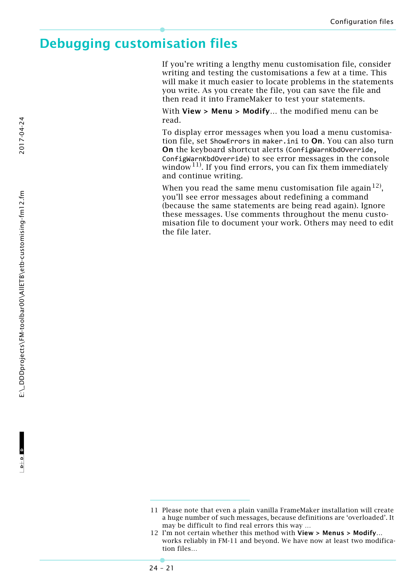## <span id="page-20-0"></span>**Debugging customisation files**

If you're writing a lengthy menu customisation file, consider writing and testing the customisations a few at a time. This will make it much easier to locate problems in the statements you write. As you create the file, you can save the file and then read it into FrameMaker to test your statements.

With **View > Menu > Modify…** the modified menu can be read.

To display error messages when you load a menu customisation file, set ShowErrors in maker.ini to **On**. You can also turn **On** the keyboard shortcut alerts (ConfigWarnKbdOverride, ConfigWarnKbdOverride) to see error messages in the console window<sup>11)</sup>. If you find errors, you can fix them immediately and continue writing.

When you read the same menu customisation file again<sup>12)</sup>, you'll see error messages about redefining a command (because the same statements are being read again). Ignore these messages. Use comments throughout the menu customisation file to document your work. Others may need to edit the file later.

<sup>11</sup> Please note that even a plain vanilla FrameMaker installation will create a huge number of such messages, because definitions are 'overloaded'. It may be difficult to find real errors this way …

<sup>12</sup> I'm not certain whether this method with **View > Menus > Modify…** works reliably in FM-11 and beyond. We have now at least two modification files…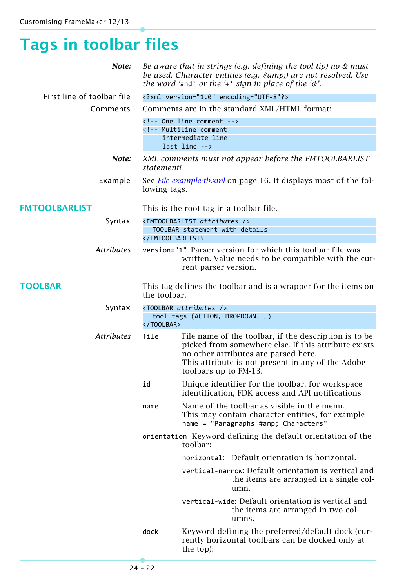# <span id="page-21-0"></span>**Tags in toolbar files**

| Note:                      | Be aware that in strings (e.g. defining the tool tip) no $\&$ must<br>be used. Character entities (e.g. #amp;) are not resolved. Use<br>the word 'and' or the '+' sign in place of the '&'. |                                                                                                                                                                                                                                     |  |
|----------------------------|---------------------------------------------------------------------------------------------------------------------------------------------------------------------------------------------|-------------------------------------------------------------------------------------------------------------------------------------------------------------------------------------------------------------------------------------|--|
| First line of toolbar file |                                                                                                                                                                                             | xml version="1.0" encoding="UTF-8"?                                                                                                                                                                                                 |  |
| Comments                   |                                                                                                                                                                                             | Comments are in the standard XML/HTML format:                                                                                                                                                                                       |  |
|                            |                                                                                                                                                                                             | One line comment                                                                                                                                                                                                                    |  |
|                            |                                                                                                                                                                                             | Multiline comment</td></tr><tr><th></th><td colspan=2>intermediate line<br>last line                                                                                                                                                |  |
| Note:                      | XML comments must not appear before the FMTOOLBARLIST<br>statement!                                                                                                                         |                                                                                                                                                                                                                                     |  |
| Example                    | See File example-tb.xml on page 16. It displays most of the fol-<br>lowing tags.                                                                                                            |                                                                                                                                                                                                                                     |  |
| <b>FMTOOLBARLIST</b>       | This is the root tag in a toolbar file.                                                                                                                                                     |                                                                                                                                                                                                                                     |  |
| Syntax                     |                                                                                                                                                                                             | <fmt00lbarlist attributes=""></fmt00lbarlist>                                                                                                                                                                                       |  |
|                            |                                                                                                                                                                                             | TOOLBAR statement with details                                                                                                                                                                                                      |  |
| <b>Attributes</b>          | version="1" Parser version for which this toolbar file was<br>written. Value needs to be compatible with the cur-<br>rent parser version.                                                   |                                                                                                                                                                                                                                     |  |
| <b>TOOLBAR</b>             | This tag defines the toolbar and is a wrapper for the items on<br>the toolbar.<br><toolbar attributes=""></toolbar>                                                                         |                                                                                                                                                                                                                                     |  |
|                            |                                                                                                                                                                                             |                                                                                                                                                                                                                                     |  |
| Syntax                     |                                                                                                                                                                                             |                                                                                                                                                                                                                                     |  |
|                            |                                                                                                                                                                                             | tool tags (ACTION, DROPDOWN, )                                                                                                                                                                                                      |  |
| <b>Attributes</b>          | <br>file                                                                                                                                                                                    | File name of the toolbar, if the description is to be<br>picked from somewhere else. If this attribute exists<br>no other attributes are parsed here.<br>This attribute is not present in any of the Adobe<br>toolbars up to FM-13. |  |
|                            | id                                                                                                                                                                                          | Unique identifier for the toolbar, for workspace<br>identification, FDK access and API notifications                                                                                                                                |  |
|                            | name                                                                                                                                                                                        | Name of the toolbar as visible in the menu.<br>This may contain character entities, for example<br>name = "Paragraphs #amp; Characters"                                                                                             |  |
|                            |                                                                                                                                                                                             | orientation Keyword defining the default orientation of the<br>toolbar:                                                                                                                                                             |  |
|                            |                                                                                                                                                                                             | horizontal: Default orientation is horizontal.                                                                                                                                                                                      |  |
|                            |                                                                                                                                                                                             | vertical-narrow: Default orientation is vertical and<br>the items are arranged in a single col-<br>umn.                                                                                                                             |  |
|                            |                                                                                                                                                                                             | vertical-wide: Default orientation is vertical and<br>the items are arranged in two col-<br>umns.                                                                                                                                   |  |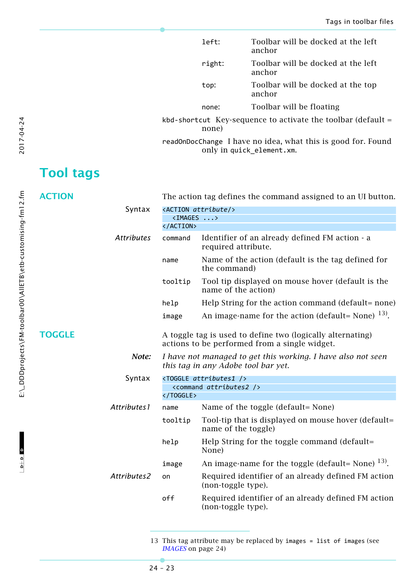| left:  | Toolbar will be docked at the left<br>anchor                   |
|--------|----------------------------------------------------------------|
| right: | Toolbar will be docked at the left<br>anchor                   |
| top:   | Toolbar will be docked at the top<br>anchor                    |
| none:  | Toolbar will be floating                                       |
| none)  | kbd-shortcut Key-sequence to activate the toolbar (default $=$ |

readOnDocChange I have no idea, what this is good for. Found only in quick\_element.xm.

## <span id="page-22-0"></span>**Tool tags**

<span id="page-22-2"></span>

| <b>ACTION</b> |                   | The action tag defines the command assigned to an UI button.                                                |                                                                                                     |  |
|---------------|-------------------|-------------------------------------------------------------------------------------------------------------|-----------------------------------------------------------------------------------------------------|--|
|               | Syntax            | <action attribute=""></action>                                                                              |                                                                                                     |  |
|               |                   | <images><br/></images>                                                                                      |                                                                                                     |  |
|               | <b>Attributes</b> | command                                                                                                     | Identifier of an already defined FM action - a<br>required attribute.                               |  |
|               |                   | name                                                                                                        | Name of the action (default is the tag defined for<br>the command)                                  |  |
|               |                   | tooltip                                                                                                     | Tool tip displayed on mouse hover (default is the<br>name of the action)                            |  |
|               |                   | help                                                                                                        | Help String for the action command (default= none)                                                  |  |
|               |                   | image                                                                                                       | An image-name for the action (default= None) $^{13}$ .                                              |  |
| <b>TOGGLE</b> |                   | A toggle tag is used to define two (logically alternating)<br>actions to be performed from a single widget. |                                                                                                     |  |
|               | Note:             |                                                                                                             | I have not managed to get this working. I have also not seen<br>this tag in any Adobe tool bar yet. |  |
|               | Syntax            | <toggle attributes1=""></toggle><br><command attributes2=""/><br>                                           |                                                                                                     |  |
|               | Attributes1       | name                                                                                                        | Name of the toggle (default= None)                                                                  |  |
|               |                   | tooltip                                                                                                     | Tool-tip that is displayed on mouse hover (default=<br>name of the toggle)                          |  |
|               |                   | help                                                                                                        | Help String for the toggle command (default=<br>None)                                               |  |
|               |                   | image                                                                                                       | An image-name for the toggle (default= None) $^{13}$ .                                              |  |
|               | Attributes2       | on                                                                                                          | Required identifier of an already defined FM action<br>(non-toggle type).                           |  |
|               |                   | off                                                                                                         | Required identifier of an already defined FM action<br>(non-toggle type).                           |  |

<span id="page-22-1"></span><sup>13</sup> This tag attribute may be replaced by images = list of images (see *IMAGES* [on page 24](#page-23-1))

2017-04-24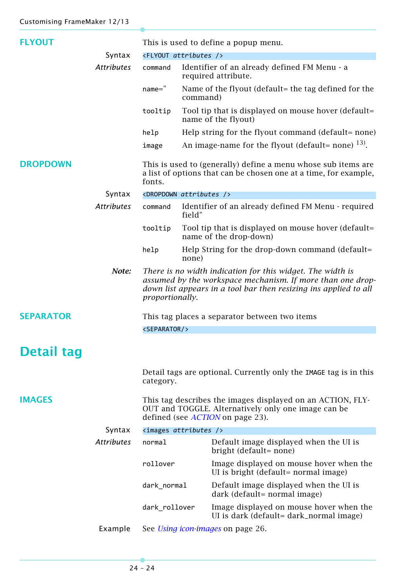<span id="page-23-1"></span><span id="page-23-0"></span>

| <b>FLYOUT</b>     |                   | This is used to define a popup menu.                                                                                                                                                                            |                                                                                    |
|-------------------|-------------------|-----------------------------------------------------------------------------------------------------------------------------------------------------------------------------------------------------------------|------------------------------------------------------------------------------------|
|                   | Syntax            | <flyout attributes=""></flyout>                                                                                                                                                                                 |                                                                                    |
|                   | <b>Attributes</b> | command                                                                                                                                                                                                         | Identifier of an already defined FM Menu - a<br>required attribute.                |
|                   |                   | $name="$                                                                                                                                                                                                        | Name of the flyout (default= the tag defined for the<br>command)                   |
|                   |                   | tooltip                                                                                                                                                                                                         | Tool tip that is displayed on mouse hover (default=<br>name of the flyout)         |
|                   |                   | help                                                                                                                                                                                                            | Help string for the flyout command (default= none)                                 |
|                   |                   | image                                                                                                                                                                                                           | An image-name for the flyout (default= none) $^{13}$ .                             |
| <b>DROPDOWN</b>   |                   | This is used to (generally) define a menu whose sub items are<br>a list of options that can be chosen one at a time, for example,<br>fonts.                                                                     |                                                                                    |
|                   | Syntax            |                                                                                                                                                                                                                 | <dropdown attributes=""></dropdown>                                                |
|                   | <b>Attributes</b> | command                                                                                                                                                                                                         | Identifier of an already defined FM Menu - required<br>field"                      |
|                   |                   | tooltip                                                                                                                                                                                                         | Tool tip that is displayed on mouse hover (default=<br>name of the drop-down)      |
|                   |                   | help                                                                                                                                                                                                            | Help String for the drop-down command (default=<br>none)                           |
|                   | Note:             | There is no width indication for this widget. The width is<br>assumed by the workspace mechanism. If more than one drop-<br>down list appears in a tool bar then resizing ins applied to all<br>proportionally. |                                                                                    |
| <b>SEPARATOR</b>  |                   | This tag places a separator between two items                                                                                                                                                                   |                                                                                    |
|                   |                   | <separator></separator>                                                                                                                                                                                         |                                                                                    |
| <b>Detail tag</b> |                   |                                                                                                                                                                                                                 |                                                                                    |
|                   |                   |                                                                                                                                                                                                                 |                                                                                    |
|                   |                   | Detail tags are optional. Currently only the IMAGE tag is in this<br>category.                                                                                                                                  |                                                                                    |
| <b>IMAGES</b>     |                   | This tag describes the images displayed on an ACTION, FLY-<br>OUT and TOGGLE. Alternatively only one image can be<br>defined (see ACTION on page 23).                                                           |                                                                                    |
|                   | Syntax            | <images attributes=""></images>                                                                                                                                                                                 |                                                                                    |
|                   | <b>Attributes</b> | normal                                                                                                                                                                                                          | Default image displayed when the UI is<br>bright (default= none)                   |
|                   |                   | rollover                                                                                                                                                                                                        | Image displayed on mouse hover when the<br>UI is bright (default= normal image)    |
|                   |                   | dark_normal                                                                                                                                                                                                     | Default image displayed when the UI is<br>dark (default= normal image)             |
|                   |                   | dark_rollover                                                                                                                                                                                                   | Image displayed on mouse hover when the<br>UI is dark (default= dark_normal image) |
|                   | Example           | See Using icon-images on page 26.                                                                                                                                                                               |                                                                                    |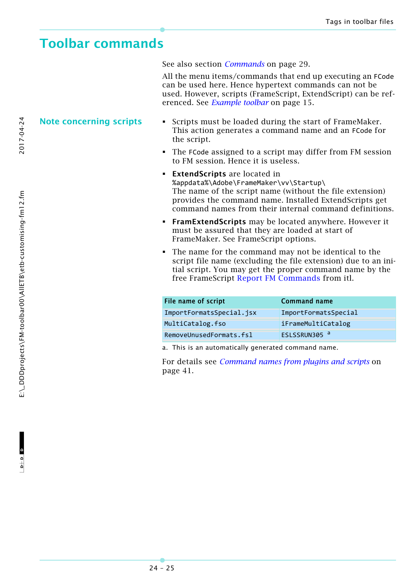## <span id="page-24-0"></span>**Toolbar commands**

See also section *Commands* [on page 29](#page-28-0).

All the menu items/commands that end up executing an FCode can be used here. Hence hypertext commands can not be used. However, scripts (FrameScript, ExtendScript) can be referenced. See *[Example toolbar](#page-14-2)* on page 15.

- <span id="page-24-1"></span>**Note concerning scripts Scripts** Scripts must be loaded during the start of FrameMaker. This action generates a command name and an FCode for the script.
	- The FCode assigned to a script may differ from FM session to FM session. Hence it is useless.
	- **ExtendScripts** are located in %appdata%\Adobe\FrameMaker\vv\Startup\ The name of the script name (without the file extension) provides the command name. Installed ExtendScripts get command names from their internal command definitions.
	- **FramExtendScripts** may be located anywhere. However it must be assured that they are loaded at start of FrameMaker. See FrameScript options.
	- The name for the command may not be identical to the script file name (excluding the file extension) due to an initial script. You may get the proper command name by the free FrameScript [Report FM Commands](http://www.i-frame.itl.info/en/feature-description/free-scripts/report-fm-commands.html) from itl.

| File name of script      | <b>Command name</b>      |
|--------------------------|--------------------------|
| ImportFormatsSpecial.jsx | ImportFormatsSpecial     |
| MultiCatalog.fso         | iFrameMultiCatalog       |
| RemoveUnusedFormats.fsl  | ESLSSRUN305 <sup>a</sup> |

a. This is an automatically generated command name.

For details see *[Command names from plugins and scripts](#page-40-0)* on [page 41.](#page-40-0)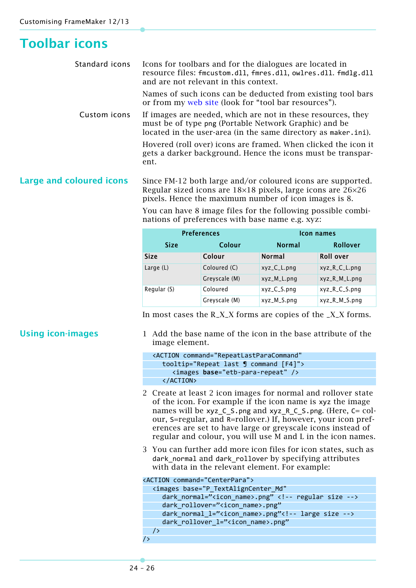### <span id="page-25-0"></span>**Toolbar icons**

Standard icons Icons for toolbars and for the dialogues are located in resource files: fmcustom.dll, fmres.dll, owlres.dll. fmdlg.dll and are not relevant in this context. Names of such icons can be deducted from existing tool bars

or from my [web site](http://www.daube.ch/docu/fmaker00.html#internals) (look for "tool bar resources"). Custom icons If images are needed, which are not in these resources, they must be of type png (Portable Network Graphic) and be

> located in the user-area (in the same directory as maker.ini). Hovered (roll over) icons are framed. When clicked the icon it gets a darker background. Hence the icons must be transparent.

#### **Large and coloured icons** Since FM-12 both large and/or coloured icons are supported. Regular sized icons are 18×18 pixels, large icons are 26×26 pixels. Hence the maximum number of icon images is 8.

You can have 8 image files for the following possible combinations of preferences with base name e.g. xyz:

| <b>Preferences</b> |               | <b>Icon names</b> |                  |
|--------------------|---------------|-------------------|------------------|
| <b>Size</b>        | Colour        | <b>Normal</b>     | <b>Rollover</b>  |
| <b>Size</b>        | Colour        | <b>Normal</b>     | <b>Roll over</b> |
| Large (L)          | Coloured (C)  | xyz_C_L.png       | xyz_R_C_L.png    |
|                    | Greyscale (M) | xyz_M_L.png       | xyz_R_M_L.png    |
| Regular (S)        | Coloured      | $xyz_C_S.png$     | xyz_R_C_S.png    |
|                    | Greyscale (M) | xyz_M_S.png       | xyz_R_M_S.png    |

In most cases the R\_X\_X forms are copies of the \_X\_X forms.

<span id="page-25-1"></span>**Using icon-images** 1 Add the base name of the icon in the base attribute of the image element.

```
<ACTION command="RepeatLastParaCommand"
  tooltip="Repeat last ¶ command [F4]">
     <images base="etb-para-repeat" />
  </ACTION>
```
- 2 Create at least 2 icon images for normal and rollover state of the icon. For example if the icon name is xyz the image names will be xyz C S.png and xyz R C S.png. (Here, C= colour, S=regular, and R=rollover.) If, however, your icon preferences are set to have large or greyscale icons instead of regular and colour, you will use M and L in the icon names.
- 3 You can further add more icon files for icon states, such as dark\_normal and dark\_rollover by specifying attributes with data in the relevant element. For example:

| <action command="CenterPara"></action>                          |
|-----------------------------------------------------------------|
| <images <="" base="P_TextAlignCenter_Md" td=""></images>        |
| dark normal=" <icon name="">.png" <!-- regular size --></icon>  |
| dark rollover=" <icon name="">.png"</icon>                      |
| dark_normal_l=" <icon_name>.png"<!-- large size --></icon_name> |
| dark_rollover_l=" <icon_name>.png"</icon_name>                  |
| $\rightarrow$                                                   |
|                                                                 |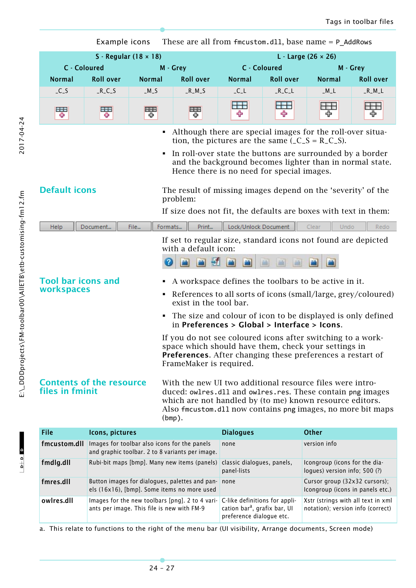Example icons These are all from fmcustom.dll, base name = P\_AddRows S - Regular  $(18 \times 18)$  L - Large  $(26 \times 26)$ C - Coloured M - Grey C - Coloured M - Grey Normal Roll over Normal Roll over Normal Roll over Normal Roll over \_C\_S \_R\_C\_S \_M\_S \_R\_M\_S \_C\_L \_R\_C\_L \_M\_L \_R\_M\_L **HH HH**  $\overline{++}$  $\overline{a}$ **BBB** ESS EE **BBB** ቀ ⊕ ቍ 유 骨 ÷ 叠 45. Although there are special images for the roll-over situation, the pictures are the same  $(\_C_S = R_\_C_S)$ . In roll-over state the buttons are surrounded by a border and the background becomes lighter than in normal state. Hence there is no need for special images. **Default icons** The result of missing images depend on the 'severity' of the problem: If size does not fit, the defaults are boxes with text in them: Lock/Unlock Document Clear Help Document. File. Formats... Print... | Undo Redo If set to regular size, standard icons not found are depicted with a default icon: 南南縣 n 鹽 論 **Tool bar icons and**  A workspace defines the toolbars to be active in it. **workspaces** References to all sorts of icons (small/large, grey/coloured) exist in the tool bar. The size and colour of icon to be displayed is only defined in **Preferences > Global > Interface > Icons**. If you do not see coloured icons after switching to a workspace which should have them, check your settings in **Preferences**. After changing these preferences a restart of FrameMaker is required. **Contents of the resource**  With the new UI two additional resource files were intro**files in fminit** duced: owlres.dll and owlres.res. These contain png images which are not handled by (to me) known resource editors. Also fmcustom.dll now contains png images, no more bit maps

| <b>File</b>  | Icons, pictures                                                                                    | <b>Dialogues</b>                                                                                      | Other                                                                   |
|--------------|----------------------------------------------------------------------------------------------------|-------------------------------------------------------------------------------------------------------|-------------------------------------------------------------------------|
| fmcustom.dll | Images for toolbar also icons for the panels<br>and graphic toolbar. 2 to 8 variants per image.    | none                                                                                                  | version info                                                            |
| fmdlg.dll    | Rubi-bit maps [bmp]. Many new items (panels) classic dialogues, panels,                            | panel-lists                                                                                           | Icongroup (icons for the dia-<br>loques) version info; 500 (?)          |
| fmres.dll    | Button images for dialogues, palettes and pan- none<br>els (16x16), [bmp]. Some items no more used |                                                                                                       | Cursor group (32x32 cursors);<br>Icongroup (icons in panels etc.)       |
| owlres.dll   | Images for the new toolbars [png]. 2 to 4 vari-<br>ants per image. This file is new with FM-9      | C-like definitions for appli-<br>cation bar <sup>a</sup> , grafix bar, UI<br>preference dialogue etc. | Xstr (strings with all text in xml<br>notation); version info (correct) |

a. This relate to functions to the right of the menu bar (UI visibility, Arrange documents, Screen mode)

(bmp).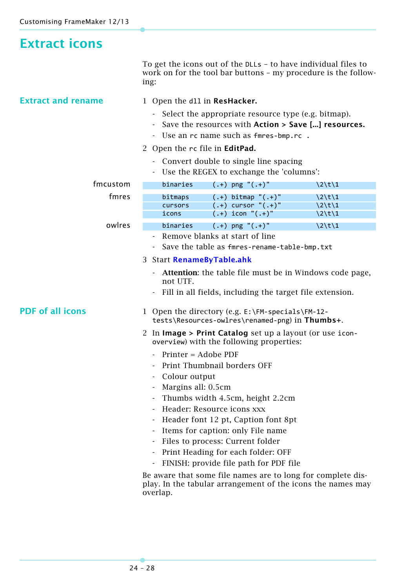## <span id="page-27-0"></span>**Extract icons**

To get the icons out of the DLLs – to have individual files to work on for the tool bar buttons – my procedure is the following:

#### **Extract and rename** 1 Open the dll in ResHacker.

- Select the appropriate resource type (e.g. bitmap).
- Save the resources with **Action > Save [...] resources.**
- Use an rc name such as fmres-bmp.rc .

#### 2 Open the rc file in **EditPad.**

- Convert double to single line spacing
- Use the REGEX to exchange the 'columns':

#### fmcustom binaries  $(.+)$  png " $(.+)$ "  $\qquad \qquad \setminus 2\setminus t\setminus 1$

fmres bitmaps  $(.+)$  bitmap " $(.+)$ "  $\{2\}t\$ 1

owlres binaries  $( .+ )$  png " $( .+ )$ "  $\qquad \qquad \backslash 2\setminus t\setminus 1$ 

- Remove blanks at start of line
- Save the table as fmres-rename-table-bmp.txt

cursors  $( . + )$  cursor  $( . + )$ " \2\t\1 icons  $(.+)$  icon  $"(.+)$ "  $\qquad \qquad \backslash 2\backslash 1$ 

- 3 Start **[RenameByTable.ahk](http://www.daube.ch/share/win15.html)**
	- **Attention**: the table file must be in Windows code page, not UTF.
	- Fill in all fields, including the target file extension.

#### **PDF of all icons** 1 Open the directory (e.g. E:\FM-specials\FM-12tests\Resources-owlres\renamed-png) in **Thumbs+**.

- 2 In **Image > Print Catalog** set up a layout (or use iconoverview) with the following properties:
	- Printer = Adobe PDF
	- Print Thumbnail borders OFF
	- Colour output
	- Margins all: 0.5cm
	- Thumbs width 4.5cm, height 2.2cm
	- Header: Resource icons xxx
	- Header font 12 pt, Caption font 8pt
	- Items for caption: only File name
	- Files to process: Current folder
	- Print Heading for each folder: OFF
	- FINISH: provide file path for PDF file

Be aware that some file names are to long for complete display. In the tabular arrangement of the icons the names may overlap.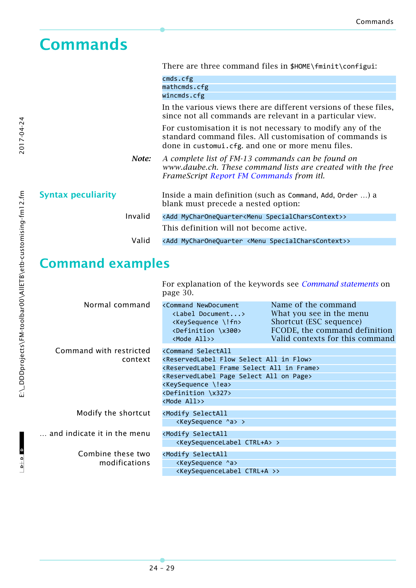<span id="page-28-0"></span>

| <b>Commands</b>           |         |                                                                                                                                                                             |  |
|---------------------------|---------|-----------------------------------------------------------------------------------------------------------------------------------------------------------------------------|--|
|                           |         | There are three command files in \$HOME\fminit\configui:                                                                                                                    |  |
|                           |         | cmds.cfg<br>mathcmds.cfg<br>wincmds.cfg                                                                                                                                     |  |
|                           |         | In the various views there are different versions of these files,<br>since not all commands are relevant in a particular view.                                              |  |
|                           |         | For customisation it is not necessary to modify any of the<br>standard command files. All customisation of commands is<br>done in customui.cfg. and one or more menu files. |  |
|                           | Note:   | A complete list of FM-13 commands can be found on<br>www.daube.ch. These command lists are created with the free<br><b>FrameScript Report FM Commands from itl.</b>         |  |
| <b>Syntax peculiarity</b> |         | Inside a main definition (such as Command, Add, Order ) a<br>blank must precede a nested option:                                                                            |  |
|                           | Invalid | <add mycharonequarter<menu="" specialcharscontext="">&gt;</add>                                                                                                             |  |
|                           |         | This definition will not become active.                                                                                                                                     |  |
|                           | Valid   | <add <menu="" mycharonequarter="" specialcharscontext="">&gt;</add>                                                                                                         |  |

## <span id="page-28-1"></span>**Command examples**

For explanation of the keywords see *[Command statements](#page-29-0)* on [page 30.](#page-29-0)

| Normal command                       | <command newdocument<br=""/> <label document=""><br/><keysequence \!fn=""><br/><definition \x300=""><br/><mode all="">&gt;</mode></definition></keysequence></label> | Name of the command<br>What you see in the menu<br>Shortcut (ESC sequence)<br>FCODE, the command definition<br>Valid contexts for this command |  |  |
|--------------------------------------|----------------------------------------------------------------------------------------------------------------------------------------------------------------------|------------------------------------------------------------------------------------------------------------------------------------------------|--|--|
| Command with restricted              | <command selectall<="" td=""/> <td></td>                                                                                                                             |                                                                                                                                                |  |  |
| context                              | <reservedlabel all="" flow="" in="" select=""></reservedlabel>                                                                                                       |                                                                                                                                                |  |  |
|                                      | <reservedlabel all="" frame="" in="" select=""></reservedlabel>                                                                                                      |                                                                                                                                                |  |  |
|                                      | <reservedlabel all="" on="" page="" select=""></reservedlabel>                                                                                                       |                                                                                                                                                |  |  |
|                                      | <keysequence \!ea=""></keysequence>                                                                                                                                  |                                                                                                                                                |  |  |
|                                      | <definition \x327=""></definition>                                                                                                                                   |                                                                                                                                                |  |  |
|                                      | <mode all="">&gt;</mode>                                                                                                                                             |                                                                                                                                                |  |  |
| Modify the shortcut                  | <modify selectall<="" td=""></modify>                                                                                                                                |                                                                                                                                                |  |  |
|                                      | <keysequence ^a=""> &gt;</keysequence>                                                                                                                               |                                                                                                                                                |  |  |
| $\ldots$ and indicate it in the menu | <modify selectall<="" td=""></modify>                                                                                                                                |                                                                                                                                                |  |  |
|                                      | <keysequencelabel ctrl+a=""> &gt;</keysequencelabel>                                                                                                                 |                                                                                                                                                |  |  |
| Combine these two                    | <modify selectall<="" td=""></modify>                                                                                                                                |                                                                                                                                                |  |  |
| modifications                        | <keysequence ^a=""></keysequence>                                                                                                                                    |                                                                                                                                                |  |  |
|                                      | <keysequencelabel ctrl+a="">&gt;</keysequencelabel>                                                                                                                  |                                                                                                                                                |  |  |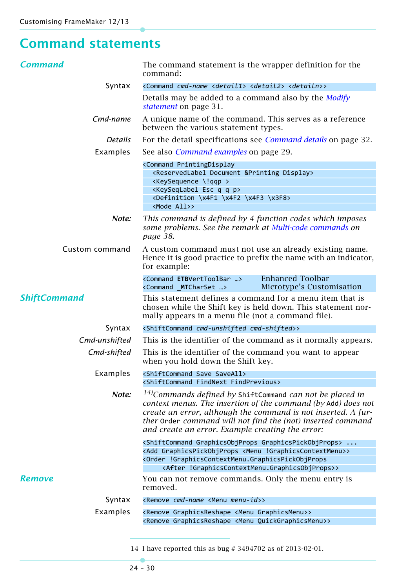## <span id="page-29-0"></span>**Command statements**

<span id="page-29-2"></span><span id="page-29-1"></span>

| <b>Command</b>      | The command statement is the wrapper definition for the<br>command:                                                                                                                                                                                                                                               |  |  |  |  |  |  |
|---------------------|-------------------------------------------------------------------------------------------------------------------------------------------------------------------------------------------------------------------------------------------------------------------------------------------------------------------|--|--|--|--|--|--|
| Syntax              | <command <detail1="" cmd-name=""/> <detail2> <detailn>&gt;</detailn></detail2>                                                                                                                                                                                                                                    |  |  |  |  |  |  |
|                     | Details may be added to a command also by the <i>Modify</i><br>statement on page 31.                                                                                                                                                                                                                              |  |  |  |  |  |  |
| Cmd-name            | A unique name of the command. This serves as a reference<br>between the various statement types.                                                                                                                                                                                                                  |  |  |  |  |  |  |
| <b>Details</b>      | For the detail specifications see <i>Command details</i> on page 32.                                                                                                                                                                                                                                              |  |  |  |  |  |  |
| Examples            | See also <i>Command examples</i> on page 29.                                                                                                                                                                                                                                                                      |  |  |  |  |  |  |
|                     | <command printingdisplay<br=""/> <reservedlabel &printing="" display="" document=""><br/><keysequence \!qqp=""><br/><keyseqlabel esc="" p="" q=""><br/><definition \x3f8="" \x4f1="" \x4f2="" \x4f3=""><br/><mode all="">&gt;</mode></definition></keyseqlabel></keysequence></reservedlabel>                     |  |  |  |  |  |  |
| Note:               | This command is defined by 4 function codes which imposes<br>some problems. See the remark at Multi-code commands on<br>page 38.                                                                                                                                                                                  |  |  |  |  |  |  |
| Custom command      | A custom command must not use an already existing name.<br>Hence it is good practice to prefix the name with an indicator,<br>for example:                                                                                                                                                                        |  |  |  |  |  |  |
|                     | <b>Enhanced Toolbar</b><br><command etbverttoolbar=""/><br>Microtype's Customisation<br><b>Service Service</b><br><command mtcharset=""/>                                                                                                                                                                         |  |  |  |  |  |  |
| <b>ShiftCommand</b> | This statement defines a command for a menu item that is<br>chosen while the Shift key is held down. This statement nor-<br>mally appears in a menu file (not a command file).                                                                                                                                    |  |  |  |  |  |  |
| Syntax              | <shiftcommand cmd-shifted="" cmd-unshifted="">&gt;</shiftcommand>                                                                                                                                                                                                                                                 |  |  |  |  |  |  |
| Cmd-unshifted       | This is the identifier of the command as it normally appears.                                                                                                                                                                                                                                                     |  |  |  |  |  |  |
| Cmd-shifted         | This is the identifier of the command you want to appear<br>when you hold down the Shift key.                                                                                                                                                                                                                     |  |  |  |  |  |  |
| Examples            | <shiftcommand save="" saveall=""><br/><shiftcommand findnext="" findprevious=""></shiftcommand></shiftcommand>                                                                                                                                                                                                    |  |  |  |  |  |  |
| Note:               | $14$ ) Commands defined by ShiftCommand can not be placed in<br>context menus. The insertion of the command (by Add) does not<br>create an error, although the command is not inserted. A fur-<br>ther Order command will not find the (not) inserted command<br>and create an error. Example creating the error: |  |  |  |  |  |  |
|                     | <shiftcommand graphicsobjprops="" graphicspickobjprops=""> <br/><add !graphicscontextmenu="" <menu="" graphicspickobjprops="">&gt;<br/><order !graphicscontextmenu.graphicspickobjprops<br=""><after !graphicscontextmenu.graphicsobjprops="">&gt;</after></order></add></shiftcommand>                           |  |  |  |  |  |  |
| <b>Remove</b>       | You can not remove commands. Only the menu entry is<br>removed.                                                                                                                                                                                                                                                   |  |  |  |  |  |  |
| Syntax              | <remove <menu="" cmd-name="" menu-id="">&gt;</remove>                                                                                                                                                                                                                                                             |  |  |  |  |  |  |
| Examples            | <remove <menu="" graphicsmenu="" graphicsreshape="">&gt;<br/><remove <menu="" graphicsreshape="" quickgraphicsmenu="">&gt;</remove></remove>                                                                                                                                                                      |  |  |  |  |  |  |

<span id="page-29-3"></span>14 I have reported this as bug # 3494702 as of 2013-02-01.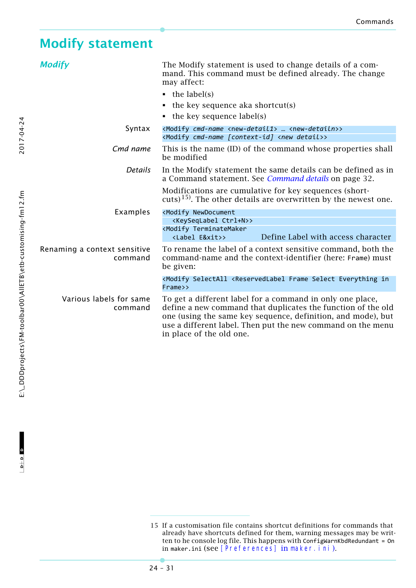## <span id="page-30-0"></span>**Modify statement**

<span id="page-30-1"></span>

| <b>Modify</b>                           | The Modify statement is used to change details of a com-<br>mand. This command must be defined already. The change<br>may affect:<br>$\bullet$ the label(s)<br>the key sequence aka shortcut(s)<br>the key sequence label(s)<br>٠                                                    |  |  |  |  |
|-----------------------------------------|--------------------------------------------------------------------------------------------------------------------------------------------------------------------------------------------------------------------------------------------------------------------------------------|--|--|--|--|
| Syntax                                  | <modify <new-detail1="" cmd-name=""> <new-detailn>&gt;<br/><modify <new="" [context-id]="" cmd-name="" detail="">&gt;</modify></new-detailn></modify>                                                                                                                                |  |  |  |  |
| Cmd name                                | This is the name (ID) of the command whose properties shall<br>be modified                                                                                                                                                                                                           |  |  |  |  |
| <b>Details</b>                          | In the Modify statement the same details can be defined as in<br>a Command statement. See <i>Command details</i> on page 32.                                                                                                                                                         |  |  |  |  |
|                                         | Modifications are cumulative for key sequences (short-<br>cuts) <sup>15)</sup> . The other details are overwritten by the newest one.                                                                                                                                                |  |  |  |  |
| Examples                                | <modify newdocument<br=""><keyseqlabel ctrl+n="">&gt;<br/><modify terminatemaker<br="">Define Label with access character<br/><label e&xit="">&gt;</label></modify></keyseqlabel></modify>                                                                                           |  |  |  |  |
| Renaming a context sensitive<br>command | To rename the label of a context sensitive command, both the<br>command-name and the context-identifier (here: Frame) must<br>be given:                                                                                                                                              |  |  |  |  |
|                                         | <modify <reservedlabel="" everything="" frame="" in<br="" select="" selectall="">Frame&gt;&gt;</modify>                                                                                                                                                                              |  |  |  |  |
| Various labels for same<br>command      | To get a different label for a command in only one place,<br>define a new command that duplicates the function of the old<br>one (using the same key sequence, definition, and mode), but<br>use a different label. Then put the new command on the menu<br>in place of the old one. |  |  |  |  |

2017-04-24

<sup>15</sup> If a customisation file contains shortcut definitions for commands that already have shortcuts defined for them, warning messages may be written to he console log file. This happens with ConfigWarnKbdRedundant = On in maker.ini (see [\[Preferences\]](http://www.daube.ch/docu/fmaker68.html#preferences) in maker.ini).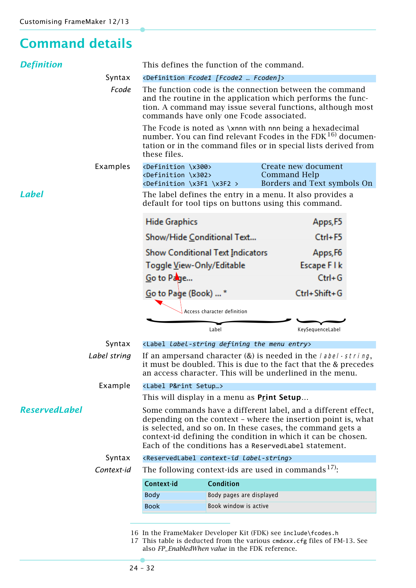## <span id="page-31-0"></span>**Command details**

<span id="page-31-2"></span><span id="page-31-1"></span>

| <b>Definition</b>    |                                                                         | This defines the function of the command.                                                                                                                                                                                        |                                                                                                                                                                                                 |                                                                                                                                                                                                                                                                                                                       |  |  |  |  |
|----------------------|-------------------------------------------------------------------------|----------------------------------------------------------------------------------------------------------------------------------------------------------------------------------------------------------------------------------|-------------------------------------------------------------------------------------------------------------------------------------------------------------------------------------------------|-----------------------------------------------------------------------------------------------------------------------------------------------------------------------------------------------------------------------------------------------------------------------------------------------------------------------|--|--|--|--|
|                      | Syntax                                                                  | <definition [fcode2="" fcode1="" fcoden]=""></definition>                                                                                                                                                                        |                                                                                                                                                                                                 |                                                                                                                                                                                                                                                                                                                       |  |  |  |  |
|                      | Fcode                                                                   | The function code is the connection between the command<br>and the routine in the application which performs the func-<br>tion. A command may issue several functions, although most<br>commands have only one Fcode associated. |                                                                                                                                                                                                 |                                                                                                                                                                                                                                                                                                                       |  |  |  |  |
|                      |                                                                         | these files.                                                                                                                                                                                                                     | The Fcode is noted as \xnnn with nnn being a hexadecimal<br>number. You can find relevant Fcodes in the FDK $^{16}$ documen-<br>tation or in the command files or in special lists derived from |                                                                                                                                                                                                                                                                                                                       |  |  |  |  |
|                      | Examples                                                                | <definition \x300=""><br/><definition \x302=""><br/><definition \x3f1="" \x3f2=""></definition></definition></definition>                                                                                                        |                                                                                                                                                                                                 | Create new document<br><b>Command Help</b><br>Borders and Text symbols On                                                                                                                                                                                                                                             |  |  |  |  |
| <b>Label</b>         |                                                                         |                                                                                                                                                                                                                                  |                                                                                                                                                                                                 | The label defines the entry in a menu. It also provides a<br>default for tool tips on buttons using this command.                                                                                                                                                                                                     |  |  |  |  |
|                      |                                                                         | <b>Hide Graphics</b>                                                                                                                                                                                                             |                                                                                                                                                                                                 | Apps, F5                                                                                                                                                                                                                                                                                                              |  |  |  |  |
|                      |                                                                         | Show/Hide Conditional Text                                                                                                                                                                                                       |                                                                                                                                                                                                 | Ctrl+F5                                                                                                                                                                                                                                                                                                               |  |  |  |  |
|                      |                                                                         | <b>Show Conditional Text Indicators</b>                                                                                                                                                                                          |                                                                                                                                                                                                 | Apps, F6                                                                                                                                                                                                                                                                                                              |  |  |  |  |
|                      |                                                                         | Toggle <u>V</u> iew-Only/Editable                                                                                                                                                                                                |                                                                                                                                                                                                 | Escape FI <sub>k</sub>                                                                                                                                                                                                                                                                                                |  |  |  |  |
|                      |                                                                         | $Go$ to $Pa$ ge                                                                                                                                                                                                                  |                                                                                                                                                                                                 | $Ctrl + G$                                                                                                                                                                                                                                                                                                            |  |  |  |  |
|                      |                                                                         | $G$ o to Page (Book) $*$                                                                                                                                                                                                         |                                                                                                                                                                                                 | Ctrl+Shift+G                                                                                                                                                                                                                                                                                                          |  |  |  |  |
|                      |                                                                         |                                                                                                                                                                                                                                  | Access character definition                                                                                                                                                                     |                                                                                                                                                                                                                                                                                                                       |  |  |  |  |
|                      |                                                                         |                                                                                                                                                                                                                                  | Label                                                                                                                                                                                           | KeySequenceLabel                                                                                                                                                                                                                                                                                                      |  |  |  |  |
|                      | Syntax                                                                  | <label defining="" entry="" label-string="" menu="" the=""></label>                                                                                                                                                              |                                                                                                                                                                                                 |                                                                                                                                                                                                                                                                                                                       |  |  |  |  |
|                      | Label string                                                            |                                                                                                                                                                                                                                  |                                                                                                                                                                                                 | If an ampersand character $(\&)$ is needed in the <i>label</i> - string,<br>it must be doubled. This is due to the fact that the & precedes<br>an access character. This will be underlined in the menu.                                                                                                              |  |  |  |  |
|                      | Example                                                                 | <label p&rint="" setup=""></label>                                                                                                                                                                                               |                                                                                                                                                                                                 |                                                                                                                                                                                                                                                                                                                       |  |  |  |  |
|                      |                                                                         | This will display in a menu as <b>Print Setup</b>                                                                                                                                                                                |                                                                                                                                                                                                 |                                                                                                                                                                                                                                                                                                                       |  |  |  |  |
| <b>ReservedLabel</b> |                                                                         |                                                                                                                                                                                                                                  |                                                                                                                                                                                                 | Some commands have a different label, and a different effect,<br>depending on the context - where the insertion point is, what<br>is selected, and so on. In these cases, the command gets a<br>context-id defining the condition in which it can be chosen.<br>Each of the conditions has a ReservedLabel statement. |  |  |  |  |
|                      | Syntax<br><reservedlabel context-id="" label-string=""></reservedlabel> |                                                                                                                                                                                                                                  |                                                                                                                                                                                                 |                                                                                                                                                                                                                                                                                                                       |  |  |  |  |
|                      | Context-id                                                              |                                                                                                                                                                                                                                  |                                                                                                                                                                                                 | The following context-ids are used in commands <sup>17)</sup> :                                                                                                                                                                                                                                                       |  |  |  |  |
|                      |                                                                         | Context-id                                                                                                                                                                                                                       | <b>Condition</b>                                                                                                                                                                                |                                                                                                                                                                                                                                                                                                                       |  |  |  |  |
|                      |                                                                         | <b>Body</b>                                                                                                                                                                                                                      | Body pages are displayed                                                                                                                                                                        |                                                                                                                                                                                                                                                                                                                       |  |  |  |  |
|                      |                                                                         | <b>Book</b>                                                                                                                                                                                                                      | Book window is active                                                                                                                                                                           |                                                                                                                                                                                                                                                                                                                       |  |  |  |  |
|                      |                                                                         |                                                                                                                                                                                                                                  |                                                                                                                                                                                                 |                                                                                                                                                                                                                                                                                                                       |  |  |  |  |

<span id="page-31-3"></span><sup>16</sup> In the FrameMaker Developer Kit (FDK) see include\fcodes.h

<sup>17</sup> This table is deducted from the various cmd*xxx*.cfg files of FM-13. See also *FP\_EnabledWhen value* in the FDK reference.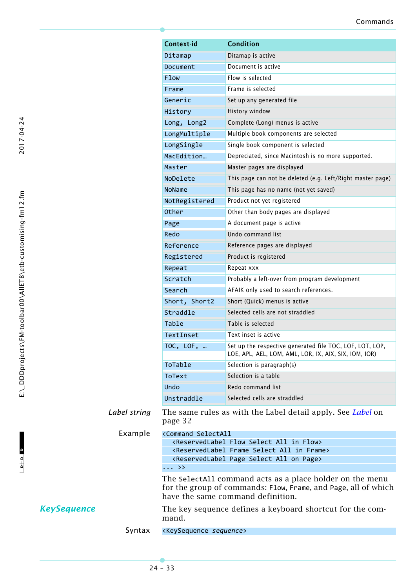|              | Context-id                                                                                          | <b>Condition</b>                                                                                                                   |  |  |  |  |  |
|--------------|-----------------------------------------------------------------------------------------------------|------------------------------------------------------------------------------------------------------------------------------------|--|--|--|--|--|
|              | Ditamap                                                                                             | Ditamap is active                                                                                                                  |  |  |  |  |  |
|              | Document                                                                                            | Document is active                                                                                                                 |  |  |  |  |  |
|              | <b>Flow</b>                                                                                         | Flow is selected                                                                                                                   |  |  |  |  |  |
|              | Frame                                                                                               | Frame is selected                                                                                                                  |  |  |  |  |  |
|              | Generic                                                                                             | Set up any generated file                                                                                                          |  |  |  |  |  |
|              | History                                                                                             | History window                                                                                                                     |  |  |  |  |  |
|              | Long, Long2                                                                                         | Complete (Long) menus is active                                                                                                    |  |  |  |  |  |
|              | LongMultiple                                                                                        | Multiple book components are selected                                                                                              |  |  |  |  |  |
|              | LongSingle                                                                                          | Single book component is selected                                                                                                  |  |  |  |  |  |
|              | MacEdition                                                                                          | Depreciated, since Macintosh is no more supported.                                                                                 |  |  |  |  |  |
|              | Master                                                                                              | Master pages are displayed                                                                                                         |  |  |  |  |  |
|              | NoDelete                                                                                            | This page can not be deleted (e.g. Left/Right master page)                                                                         |  |  |  |  |  |
|              | NoName                                                                                              | This page has no name (not yet saved)                                                                                              |  |  |  |  |  |
|              | NotRegistered                                                                                       | Product not yet registered                                                                                                         |  |  |  |  |  |
|              | Other                                                                                               | Other than body pages are displayed                                                                                                |  |  |  |  |  |
|              | Page                                                                                                | A document page is active                                                                                                          |  |  |  |  |  |
|              | Redo                                                                                                | Undo command list                                                                                                                  |  |  |  |  |  |
|              | Reference                                                                                           | Reference pages are displayed                                                                                                      |  |  |  |  |  |
|              | Registered                                                                                          | Product is registered                                                                                                              |  |  |  |  |  |
|              | Repeat                                                                                              | Repeat xxx                                                                                                                         |  |  |  |  |  |
|              | Scratch                                                                                             | Probably a left-over from program development                                                                                      |  |  |  |  |  |
|              | Search                                                                                              | AFAIK only used to search references.                                                                                              |  |  |  |  |  |
|              | Short, Short2                                                                                       | Short (Quick) menus is active                                                                                                      |  |  |  |  |  |
|              | Straddle                                                                                            | Selected cells are not straddled<br>Table is selected                                                                              |  |  |  |  |  |
|              | Table                                                                                               |                                                                                                                                    |  |  |  |  |  |
|              | TextInset                                                                                           | Text inset is active                                                                                                               |  |  |  |  |  |
|              | TOC, LOF, $\ldots$                                                                                  | Set up the respective generated file TOC, LOF, LOT, LOP,<br>LOE, APL, AEL, LOM, AML, LOR, IX, AIX, SIX, IOM, IOR)                  |  |  |  |  |  |
|              | ToTable                                                                                             | Selection is paragraph(s)                                                                                                          |  |  |  |  |  |
|              | <b>ToText</b>                                                                                       | Selection is a table                                                                                                               |  |  |  |  |  |
|              | Undo                                                                                                | Redo command list                                                                                                                  |  |  |  |  |  |
|              | Unstraddle                                                                                          | Selected cells are straddled                                                                                                       |  |  |  |  |  |
| Label string | The same rules as with the Label detail apply. See <i>Label</i> on<br>page 32                       |                                                                                                                                    |  |  |  |  |  |
| Example      | <command selectall<="" td=""/> <td></td>                                                            |                                                                                                                                    |  |  |  |  |  |
|              | <reservedlabel all="" flow="" in="" select=""></reservedlabel>                                      |                                                                                                                                    |  |  |  |  |  |
|              |                                                                                                     | <reservedlabel all="" frame="" in="" select=""><br/><reservedlabel all="" on="" page="" select=""></reservedlabel></reservedlabel> |  |  |  |  |  |
|              | $\cdots$ >>                                                                                         |                                                                                                                                    |  |  |  |  |  |
|              |                                                                                                     | The SelectAll command acts as a place holder on the menu                                                                           |  |  |  |  |  |
|              | for the group of commands: Flow, Frame, and Page, all of which<br>have the same command definition. |                                                                                                                                    |  |  |  |  |  |
|              | The key sequence defines a keyboard shortcut for the com-<br>mand.                                  |                                                                                                                                    |  |  |  |  |  |

```
Syntax <KeySequence sequence>
```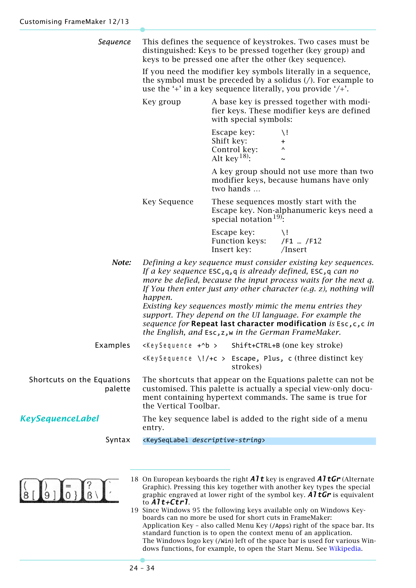| Sequence                              | This defines the sequence of keystrokes. Two cases must be<br>distinguished: Keys to be pressed together (key group) and<br>keys to be pressed one after the other (key sequence).                                                                                                    |                                                                                                                                                                                             |  |  |  |  |
|---------------------------------------|---------------------------------------------------------------------------------------------------------------------------------------------------------------------------------------------------------------------------------------------------------------------------------------|---------------------------------------------------------------------------------------------------------------------------------------------------------------------------------------------|--|--|--|--|
|                                       | If you need the modifier key symbols literally in a sequence,<br>the symbol must be preceded by a solidus $\binom{1}{1}$ . For example to<br>use the $+$ in a key sequence literally, you provide $^{\prime}/+^{\prime}$ .                                                            |                                                                                                                                                                                             |  |  |  |  |
|                                       | A base key is pressed together with modi-<br>Key group<br>fier keys. These modifier keys are defined<br>with special symbols:                                                                                                                                                         |                                                                                                                                                                                             |  |  |  |  |
|                                       |                                                                                                                                                                                                                                                                                       | Escape key:<br>$\setminus$ !<br>Shift key:<br>+<br>Control key:<br>$\boldsymbol{\wedge}$<br>Alt key <sup>18)</sup> :<br>$\sim$                                                              |  |  |  |  |
|                                       |                                                                                                                                                                                                                                                                                       | A key group should not use more than two<br>modifier keys, because humans have only<br>two hands                                                                                            |  |  |  |  |
|                                       | Key Sequence                                                                                                                                                                                                                                                                          | These sequences mostly start with the<br>Escape key. Non-alphanumeric keys need a<br>special notation $19$ .                                                                                |  |  |  |  |
|                                       |                                                                                                                                                                                                                                                                                       | Escape key:<br>\!<br>Function keys:<br>/F1  /F12<br>Insert key:<br>$/$ Insert                                                                                                               |  |  |  |  |
| Note:                                 | Defining a key sequence must consider existing key sequences.<br>If a key sequence $ESC, q, q$ is already defined, $ESC, q$ can no<br>more be defied, because the input process waits for the next q.<br>If You then enter just any other character (e.g. z), nothing will<br>happen. |                                                                                                                                                                                             |  |  |  |  |
|                                       | Existing key sequences mostly mimic the menu entries they<br>support. They depend on the UI language. For example the<br>sequence for Repeat last character modification is Esc, c, c in<br>the English, and Esc, z, w in the German FrameMaker.                                      |                                                                                                                                                                                             |  |  |  |  |
| Examples                              |                                                                                                                                                                                                                                                                                       | <keysequence +^b=""> Shift+CTRL+B (one key stroke)</keysequence>                                                                                                                            |  |  |  |  |
|                                       |                                                                                                                                                                                                                                                                                       | $\langle$ KeySequence \!/+c > Escape, Plus, c (three distinct key<br>strokes)                                                                                                               |  |  |  |  |
| Shortcuts on the Equations<br>palette | the Vertical Toolbar.                                                                                                                                                                                                                                                                 | The shortcuts that appear on the Equations palette can not be<br>customised. This palette is actually a special view-only docu-<br>ment containing hypertext commands. The same is true for |  |  |  |  |
| <b>KeySequenceLabel</b>               | entry.                                                                                                                                                                                                                                                                                | The key sequence label is added to the right side of a menu                                                                                                                                 |  |  |  |  |
| Syntax                                | <keyseqlabel descriptive-string=""></keyseqlabel>                                                                                                                                                                                                                                     |                                                                                                                                                                                             |  |  |  |  |
|                                       |                                                                                                                                                                                                                                                                                       |                                                                                                                                                                                             |  |  |  |  |

<span id="page-33-0"></span>
$$
\begin{array}{|c|c|c|}\n\hline\n\downarrow & \\
\hline\n8 & 9 & 0\n\end{array}
$$

18 On European keyboards the right *Alt* key is engraved *AltGr* (Alternate Graphic). Pressing this key together with another key types the special graphic engraved at lower right of the symbol key. *AltGr* is equivalent to *Alt+Ctrl*. 19 Since Windows 95 the following keys available only on Windows Key-

boards can no more be used for short cuts in FrameMaker: Application Key – also called Menu Key (/Apps) right of the space bar. Its standard function is to open the context menu of an application. The Windows logo key (/win) left of the space bar is used for various Windows functions, for example, to open the Start Menu. See [Wikipedia.](http://en.wikipedia.org/wiki/Windows_key#Use_with_Microsoft_Windows)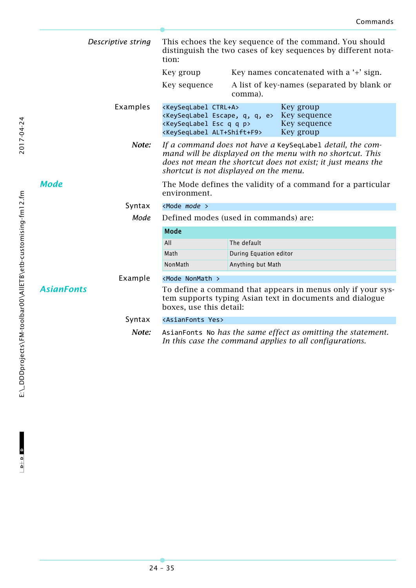<span id="page-34-1"></span><span id="page-34-0"></span>

| Descriptive string | This echoes the key sequence of the command. You should<br>distinguish the two cases of key sequences by different nota-<br>tion:                                                                         |                                         |                                                                                                                                                                                        |  |  |  |  |
|--------------------|-----------------------------------------------------------------------------------------------------------------------------------------------------------------------------------------------------------|-----------------------------------------|----------------------------------------------------------------------------------------------------------------------------------------------------------------------------------------|--|--|--|--|
|                    | Key group                                                                                                                                                                                                 | Key names concatenated with a '+' sign. |                                                                                                                                                                                        |  |  |  |  |
|                    | Key sequence                                                                                                                                                                                              | comma).                                 | A list of key-names (separated by blank or                                                                                                                                             |  |  |  |  |
| Examples           | <keyseqlabel ctrl+a=""><br/><keyseqlabel e="" escape,="" q,=""> Key sequence<br/><keyseqlabel esc="" p="" q=""><br/><keyseqlabel alt+shift+f9=""></keyseqlabel></keyseqlabel></keyseqlabel></keyseqlabel> |                                         | Key group<br>Key sequence<br>Key group                                                                                                                                                 |  |  |  |  |
| Note:              | shortcut is not displayed on the menu.                                                                                                                                                                    |                                         | If a command does not have a KeySeqLabel detail, the com-<br>mand will be displayed on the menu with no shortcut. This<br>does not mean the shortcut does not exist; it just means the |  |  |  |  |
| Mode               | The Mode defines the validity of a command for a particular<br>environment.                                                                                                                               |                                         |                                                                                                                                                                                        |  |  |  |  |
| Syntax             | <mode mode=""></mode>                                                                                                                                                                                     |                                         |                                                                                                                                                                                        |  |  |  |  |
| Mode               | Defined modes (used in commands) are:                                                                                                                                                                     |                                         |                                                                                                                                                                                        |  |  |  |  |
|                    | <b>Mode</b>                                                                                                                                                                                               |                                         |                                                                                                                                                                                        |  |  |  |  |
|                    | All                                                                                                                                                                                                       | The default                             |                                                                                                                                                                                        |  |  |  |  |
|                    | Math                                                                                                                                                                                                      | During Equation editor                  |                                                                                                                                                                                        |  |  |  |  |
|                    | NonMath                                                                                                                                                                                                   | Anything but Math                       |                                                                                                                                                                                        |  |  |  |  |
| Example            | <mode nonmath=""></mode>                                                                                                                                                                                  |                                         |                                                                                                                                                                                        |  |  |  |  |
| AsianFonts         | To define a command that appears in menus only if your sys-<br>tem supports typing Asian text in documents and dialogue<br>boxes, use this detail:                                                        |                                         |                                                                                                                                                                                        |  |  |  |  |
| Syntax             | <asianfonts yes=""></asianfonts>                                                                                                                                                                          |                                         |                                                                                                                                                                                        |  |  |  |  |
| Note:              | AsianFonts No has the same effect as omitting the statement.<br>In this case the command applies to all configurations.                                                                                   |                                         |                                                                                                                                                                                        |  |  |  |  |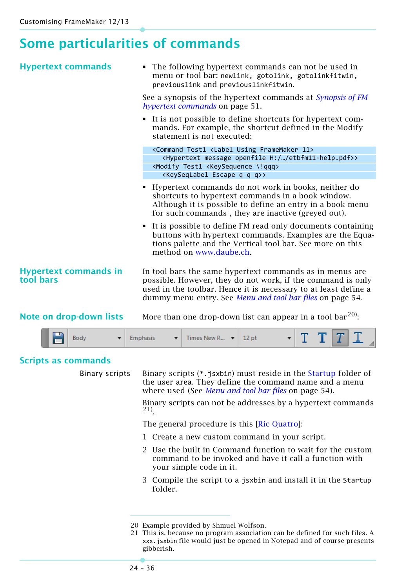## <span id="page-35-0"></span>**Some particularities of commands**

<span id="page-35-1"></span>

| <b>Hypertext commands</b>                 | • The following hypertext commands can not be used in<br>menu or tool bar: newlink, gotolink, gotolinkfitwin,<br>previouslink and previouslinkfitwin.<br>See a synopsis of the hypertext commands at Synopsis of FM<br><i>hypertext commands</i> on page 51.   |
|-------------------------------------------|----------------------------------------------------------------------------------------------------------------------------------------------------------------------------------------------------------------------------------------------------------------|
|                                           | • It is not possible to define shortcuts for hypertext com-<br>mands. For example, the shortcut defined in the Modify<br>statement is not executed:                                                                                                            |
|                                           | <command 11="" <label="" framemaker="" test1="" using=""/><br><hypertext etbfm11-help.pdf="" h:="" message="" openfile="">&gt;<br/><modify <keysequence="" \!qqq="" test1=""><br/><keyseqlabel escape="" q="">&gt;</keyseqlabel></modify></hypertext>          |
|                                           | Hypertext commands do not work in books, neither do<br>shortcuts to hypertext commands in a book window.<br>Although it is possible to define an entry in a book menu<br>for such commands, they are inactive (greyed out).                                    |
|                                           | • It is possible to define FM read only documents containing<br>buttons with hypertext commands. Examples are the Equa-<br>tions palette and the Vertical tool bar. See more on this<br>method on www.daube.ch.                                                |
| <b>Hypertext commands in</b><br>tool bars | In tool bars the same hypertext commands as in menus are<br>possible. However, they do not work, if the command is only<br>used in the toolbar. Hence it is necessary to at least define a<br>dummy menu entry. See <i>Menu and tool bar files</i> on page 54. |
| Note on drop-down lists                   | More than one drop-down list can appear in a tool bar <sup>20)</sup> :                                                                                                                                                                                         |
| Body<br>▼                                 | Times New R $\blacktriangledown$<br>12 <sub>pt</sub><br>Emphasis<br>$\overline{\mathbf{v}}$                                                                                                                                                                    |
| <b>Scripts as commands</b>                |                                                                                                                                                                                                                                                                |

Binary scripts Binary scripts  $(*.$  jsxbin) must reside in the Startup folder of the user area. They define the command name and a menu where used (See *[Menu and tool bar files](#page-53-0)* on page 54).

Binary scripts can not be addresses by a hypertext commands  $\mathbf{^{21)} }$ 

The general procedure is this [[Ric Quatro](https://forums.adobe.com/thread/2299092)]:

- 1 Create a new custom command in your script.
- 2 Use the built in Command function to wait for the custom command to be invoked and have it call a function with your simple code in it.
- 3 Compile the script to a jsxbin and install it in the Startup folder.

<sup>20</sup> Example provided by Shmuel Wolfson.

<sup>21</sup> This is, because no program association can be defined for such files. A xxx.jsxbin file would just be opened in Notepad and of course presents gibberish.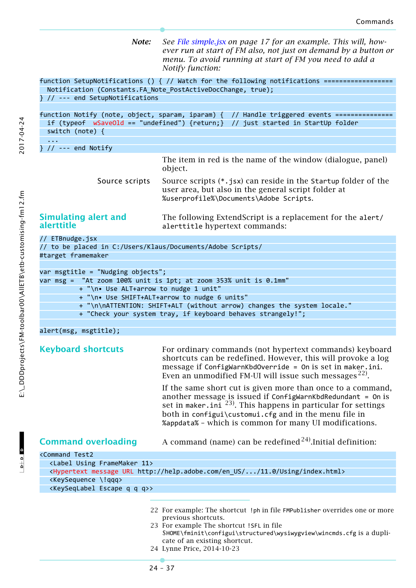*Note: See [File simple.jsx on page 17](#page-16-0) for an example. This will, however run at start of FM also, not just on demand by a button or menu. To avoid running at start of FM you need to add a Notify function:* function SetupNotifications () { // Watch for the following notifications =================== Notification (Constants.FA\_Note\_PostActiveDocChange, true); } // --- end SetupNotifications

function Notify (note, object, sparam, iparam) { // Handle triggered events =============== if (typeof wSaveOld == "undefined") {return;} // just started in StartUp folder switch (note) { ...  $} // -- end Notify$ The item in red is the name of the window (dialogue, panel)

|                    | object.                                                                                                                                                         |
|--------------------|-----------------------------------------------------------------------------------------------------------------------------------------------------------------|
| Source scripts     | Source scripts (*.jsx) can reside in the Startup folder of the<br>user area, but also in the general script folder at<br>%userprofile%\Documents\Adobe Scripts. |
| nulating alert and | The following ExtendScript is a replacement for the alert/                                                                                                      |

alerttitle hypertext commands:

#### **Simulating alert and alerttitle**

// ETBnudge.jsx // to be placed in C:/Users/Klaus/Documents/Adobe Scripts/

#target framemaker

```
var msgtitle = "Nudging objects";
```

|  |  |  |  |  |                                                                        |  | var msg = "At zoom 100% unit is 1pt; at zoom 353% unit is 0.1mm" |  |
|--|--|--|--|--|------------------------------------------------------------------------|--|------------------------------------------------------------------|--|
|  |  |  |  |  |                                                                        |  |                                                                  |  |
|  |  |  |  |  | والطائرين والمسترامين وبطر ويعتبرهم والمتحال المتحال والمتحال والمتحال |  |                                                                  |  |

- \n• Use ALT+arrow to nudge 1 unit + "\n• Use SHIFT+ALT+arrow to nudge 6 units"
	- + "\n\nATTENTION: SHIFT+ALT (without arrow) changes the system locale."
	- + "Check your system tray, if keyboard behaves strangely!";

alert(msg, msgtitle);

**Keyboard shortcuts** For ordinary commands (not hypertext commands) keyboard shortcuts can be redefined. However, this will provoke a log message if ConfigWarnKbdOverride = On is set in maker.ini. Even an unmodified FM-UI will issue such messages<sup>22)</sup>.

> If the same short cut is given more than once to a command, another message is issued if  $ConfigWarning$ MarnKbdRedundant = On is set in maker. ini  $^{23)}$ . This happens in particular for settings both in configui\customui.cfg and in the menu file in %appdata% – which is common for many UI modifications.

**Command overloading** A command (name) can be redefined<sup>24)</sup>.Initial definition:

| <command td="" test2<=""/> <td></td>           |                                                                                                                 |
|------------------------------------------------|-----------------------------------------------------------------------------------------------------------------|
| <label 11="" framemaker="" using=""></label>   |                                                                                                                 |
|                                                | <hypertext 11.0="" en="" help.adobe.com="" http:="" index.html="" message="" url="" us="" using=""></hypertext> |
| <keysequence \!gqq=""></keysequence>           |                                                                                                                 |
| <keyseqlabel escape="" q="">&gt;</keyseqlabel> |                                                                                                                 |
|                                                |                                                                                                                 |
|                                                | 22 For evample: The shortcut Leb in file EMPublisher everydes and or more                                       |

- 22 For example: The shortcut !ph in file FMPublisher overrides one or more previous shortcuts.
- 23 For example The shortcut !SFL in file \$HOME\fminit\configui\structured\wysiwygview\wincmds.cfg is a duplicate of an existing shortcut. 24 Lynne Price, 2014-10-23
- 24 37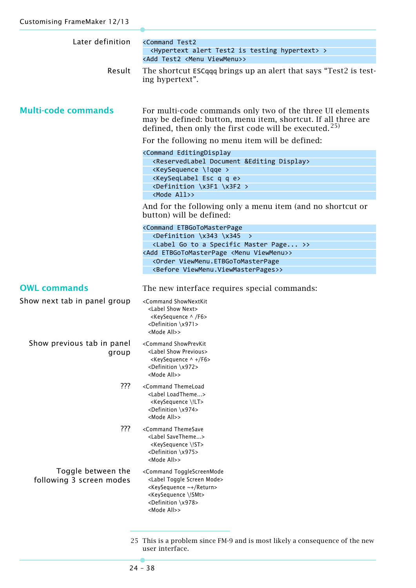<span id="page-37-0"></span>

| Later definition                               | <command td="" test2<=""/>                                                                                                                                                                                                                 |
|------------------------------------------------|--------------------------------------------------------------------------------------------------------------------------------------------------------------------------------------------------------------------------------------------|
|                                                | <hypertext alert="" hypertext="" is="" test2="" testing=""> &gt;<br/><add <menu="" test2="" viewmenu="">&gt;</add></hypertext>                                                                                                             |
| Result                                         | The shortcut ESCqqq brings up an alert that says "Test2 is test-<br>ing hypertext".                                                                                                                                                        |
|                                                |                                                                                                                                                                                                                                            |
| <b>Multi-code commands</b>                     | For multi-code commands only two of the three UI elements<br>may be defined: button, menu item, shortcut. If all three are<br>defined, then only the first code will be executed. $25$                                                     |
|                                                | For the following no menu item will be defined:                                                                                                                                                                                            |
|                                                | <command editingdisplay<="" td=""/>                                                                                                                                                                                                        |
|                                                | <reservedlabel &editing="" display="" document=""><br/><keysequence \!qqe=""></keysequence></reservedlabel>                                                                                                                                |
|                                                | <keyseqlabel e="" esc="" q=""></keyseqlabel>                                                                                                                                                                                               |
|                                                | <definition \x3f1="" \x3f2=""></definition>                                                                                                                                                                                                |
|                                                | <mode all="">&gt;</mode>                                                                                                                                                                                                                   |
|                                                | And for the following only a menu item (and no shortcut or<br>button) will be defined:                                                                                                                                                     |
|                                                | <command etbgotomasterpage<="" th=""/>                                                                                                                                                                                                     |
|                                                | $\langle$ Definition \x343 \x345 >                                                                                                                                                                                                         |
|                                                | <label a="" go="" master="" page="" specific="" to="">&gt;<br/><add <menu="" etbgotomasterpage="" viewmenu="">&gt;</add></label>                                                                                                           |
|                                                | <order th="" viewmenu.etbgotomasterpage<=""></order>                                                                                                                                                                                       |
|                                                | <before viewmenu.viewmasterpages="">&gt;</before>                                                                                                                                                                                          |
| <b>OWL commands</b>                            | The new interface requires special commands:                                                                                                                                                                                               |
| Show next tab in panel group                   | <command shownextkit<br=""/> <label next="" show=""><br/><keysequence ^="" f6=""><br/><definition \x971=""><br/><mode all="">&gt;</mode></definition></keysequence></label>                                                                |
| Show previous tab in panel<br>group            | <command showprevkit<br=""/> <label previous="" show=""><br/><keysequence +="" ^="" f6=""><br/><definition \x972=""><br/><mode all="">&gt;</mode></definition></keysequence></label>                                                       |
| ???                                            | <command themeload<br=""/> <label loadtheme=""><br/><keysequence \!lt=""><br/><definition \x974=""><br/><mode all="">&gt;</mode></definition></keysequence></label>                                                                        |
| ???                                            | <command themesave<br=""/> <label savetheme=""><br/><keysequence \!st=""><br/><definition \x975=""><br/><mode all="">&gt;</mode></definition></keysequence></label>                                                                        |
| Toggle between the<br>following 3 screen modes | <command togglescreenmode<br=""/> <label mode="" screen="" toggle=""><br/><keysequence return="" ~+=""><br/><keysequence \!smt=""><br/><definition \x978=""><br/><mode all="">&gt;</mode></definition></keysequence></keysequence></label> |

<sup>25</sup> This is a problem since FM-9 and is most likely a consequence of the new user interface.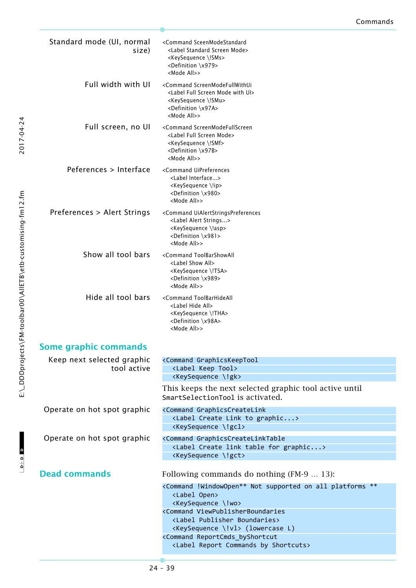| Standard mode (UI, normal<br>size)        | <command sceenmodestandard<br=""/> <label mode="" screen="" standard=""><br/><keysequence \!sms=""><br/><definition \x979=""><br/><mode all="">&gt;</mode></definition></keysequence></label>                                                                                                                                                                                                                                                   |
|-------------------------------------------|-------------------------------------------------------------------------------------------------------------------------------------------------------------------------------------------------------------------------------------------------------------------------------------------------------------------------------------------------------------------------------------------------------------------------------------------------|
| Full width with UI                        | <command screenmodefullwithui<br=""/> <label full="" mode="" screen="" ui="" with=""><br/><keysequence \!smu=""><br/><definition \x97a=""><br/><mode all="">&gt;</mode></definition></keysequence></label>                                                                                                                                                                                                                                      |
| Full screen, no UI                        | <command screenmodefullscreen<br=""/> <label full="" mode="" screen=""><br/><keysequence \!smf=""><br/><definition \x97b=""><br/><mode all="">&gt;</mode></definition></keysequence></label>                                                                                                                                                                                                                                                    |
| Peferences > Interface                    | <command uipreferences<br=""/> <label interface=""><br/><keysequence \!ip=""><br/><definition \x980=""><br/><mode all="">&gt;</mode></definition></keysequence></label>                                                                                                                                                                                                                                                                         |
| Preferences > Alert Strings               | <command uialertstringspreferences<br=""/> <label alert="" strings=""><br/><keysequence \!asp=""><br/><definition \x981=""><br/><mode all="">&gt;</mode></definition></keysequence></label>                                                                                                                                                                                                                                                     |
| Show all tool bars                        | <command toolbarshowall<br=""/> <label all="" show=""><br/><keysequence \!tsa=""><br/><definition \x989=""><br/><mode all="">&gt;</mode></definition></keysequence></label>                                                                                                                                                                                                                                                                     |
| Hide all tool bars                        | <command toolbarhideall<br=""/> <label all="" hide=""><br/><keysequence \!tha=""><br/><definition \x98a=""><br/><mode all="">&gt;</mode></definition></keysequence></label>                                                                                                                                                                                                                                                                     |
| Some graphic commands                     |                                                                                                                                                                                                                                                                                                                                                                                                                                                 |
| Keep next selected graphic<br>tool active | <command graphicskeeptool<br=""/> <label keep="" tool=""><br/><keysequence \!gk=""></keysequence></label>                                                                                                                                                                                                                                                                                                                                       |
|                                           | This keeps the next selected graphic tool active until<br>SmartSelectionTool is activated.                                                                                                                                                                                                                                                                                                                                                      |
| Operate on hot spot graphic               | <command graphicscreatelink<br=""/> <label create="" graphic="" link="" to=""><br/><keysequence \!gcl=""></keysequence></label>                                                                                                                                                                                                                                                                                                                 |
| Operate on hot spot graphic               | <command graphicscreatelinktable<br=""/> <label create="" for="" graphic="" link="" table=""><br/><keysequence \!gct=""></keysequence></label>                                                                                                                                                                                                                                                                                                  |
| <b>Dead commands</b>                      | Following commands do nothing (FM-9  13):<br><command !windowopen**="" **<br="" all="" not="" on="" platforms="" supported=""/> <label open=""><br/><keysequence \!wo=""><br/><command viewpublisherboundaries<br=""/><label boundaries="" publisher=""><br/><keysequence \!vl=""> (lowercase L)<br/><command reportcmds_byshortcut<br=""/><label by="" commands="" report="" shortcuts=""></label></keysequence></label></keysequence></label> |

 $D + D$  D

 $-$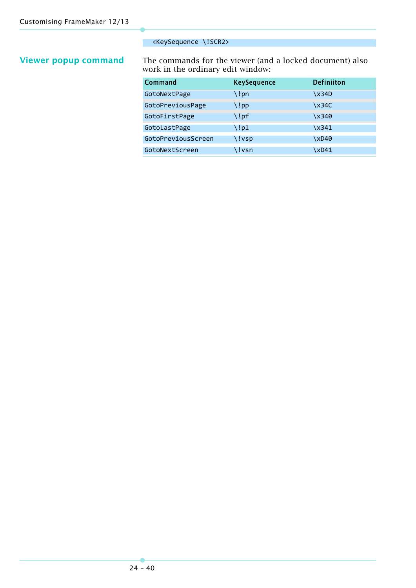#### <KeySequence \!SCR2>

**Viewer popup command** The commands for the viewer (and a locked document) also work in the ordinary edit window:

| Command            | <b>KeySequence</b> | <b>Definiiton</b> |
|--------------------|--------------------|-------------------|
| GotoNextPage       | \!pn               | \x34D             |
| GotoPreviousPage   | \!pp               | $\x34C$           |
| GotoFirstPage      | $\ln$              | \x340             |
| GotoLastPage       | \!pl               | $\x341$           |
| GotoPreviousScreen | \!vsp              | \xD40             |
| GotoNextScreen     | \!vsn              | \xD41             |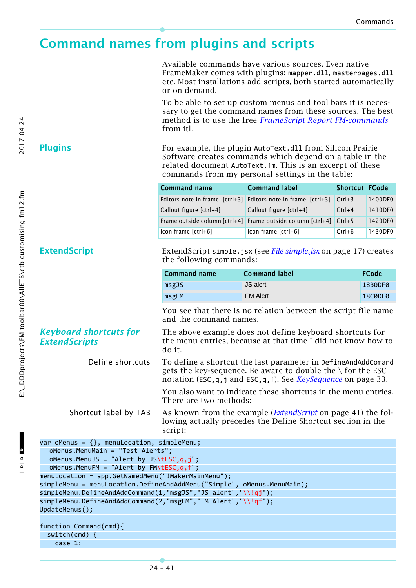## <span id="page-40-0"></span>**Command names from plugins and scripts**

Available commands have various sources. Even native FrameMaker comes with plugins: mapper.dll, masterpages.dll etc. Most installations add scripts, both started automatically or on demand.

To be able to set up custom menus and tool bars it is necessary to get the command names from these sources. The best method is to use the free *[FrameScript Report FM-commands](http://www.i-frame.itl.info/en/feature-description/free-scripts/report-fm-commands.html)*  from itl.

**Plugins** For example, the plugin AutoText.dll from Silicon Prairie Software creates commands which depend on a table in the related document AutoText.fm. This is an excerpt of these commands from my personal settings in the table:

| <b>Command name</b>     | <b>Command label</b>                                                         | <b>Shortcut FCode</b> |         |
|-------------------------|------------------------------------------------------------------------------|-----------------------|---------|
|                         | Editors note in frame $[ctrl+3]$ Editors note in frame $[ctrl+3]$ $[Ctrl+3]$ |                       | 1400DF0 |
| Callout figure [ctrl+4] | Callout figure [ctrl+4]                                                      | $Ctrl + 4$            | 1410DF0 |
|                         | Frame outside column [ctrl+4] Frame outside column [ctrl+4] Ctrl+5           |                       | 1420DF0 |
| Icon frame [ctrl+6]     | Icon frame [ctrl+6]                                                          | $Ctrl + 6$            | 1430DF0 |

<span id="page-40-1"></span>**ExtendScript** ExtendScript simple.jsx (see *[File simple.jsx](#page-16-0)* on page 17) creates the following commands:

| Command name | <b>Command label</b> | <b>FCode</b> |
|--------------|----------------------|--------------|
| msgJS        | JS alert             | 18B0DF0      |
| msgFM        | <b>FM Alert</b>      | 18C0DF0      |

You see that there is no relation between the script file name and the command names.

The above example does not define keyboard shortcuts for the menu entries, because at that time I did not know how to do it.

Define shortcuts To define a shortcut the last parameter in DefineAndAddComand gets the key-sequence. Be aware to double the  $\setminus$  for the ESC notation (ESC,q,j and ESC,q,f). See *[KeySequence](#page-32-0)* on page 33.

> You also want to indicate these shortcuts in the menu entries. There are two methods:

Shortcut label by TAB As known from the example (*ExtendScript* [on page 41\)](#page-40-1) the following actually precedes the Define Shortcut section in the script:

```
var oMenus = \{\}, menuLocation, simpleMenu;
  oMenus.MenuMain = "Test Alerts";
  oMenus.MenuJS = "Alert by JS\tESC,q,j";
  oMenus.MenuFM = "Alert by FM\tESC,q,f";
menuLocation = app.GetNamedMenu("!MakerMainMenu");
simpleMenu = menuLocation.DefineAndAddMenu("Simple", oMenus.MenuMain);
simpleMenu.DefineAndAddCommand(1,"msgJS","JS alert","\\!qj");
simpleMenu.DefineAndAddCommand(2,"msgFM","FM Alert","\\!qf");
UpdateMenus();
function Command(cmd){
  switch(cmd) {
```

```
 case 1:
```
*Keyboard shortcuts for* 

*ExtendScripts*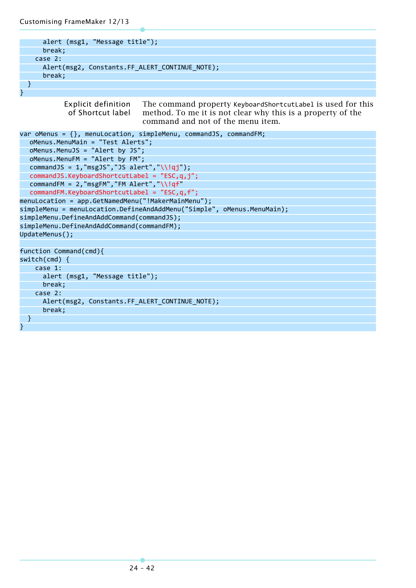}

| alert (msg1, "Message title");                 |
|------------------------------------------------|
| break;                                         |
| case 2:                                        |
| Alert(msg2, Constants.FF_ALERT_CONTINUE NOTE); |
| break;                                         |
|                                                |

Explicit definition of Shortcut label The command property KeyboardShortcutLabel is used for this method. To me it is not clear why this is a property of the command and not of the menu item.

var oMenus =  $\{\}$ , menuLocation, simpleMenu, commandJS, commandFM; oMenus.MenuMain = "Test Alerts"; oMenus.MenuJS = "Alert by JS"; oMenus.MenuFM = "Alert by FM"; commandJS =  $1$ ,"msgJS","JS alert"," $\langle \langle qj \rangle$ ; commandJS.KeyboardShortcutLabel = "ESC,q,j"; commandFM =  $2$ , "msgFM", "FM Alert", "\\!qf" commandFM.KeyboardShortcutLabel = "ESC,q,f"; menuLocation = app.GetNamedMenu("!MakerMainMenu"); simpleMenu = menuLocation.DefineAndAddMenu("Simple", oMenus.MenuMain); simpleMenu.DefineAndAddCommand(commandJS); simpleMenu.DefineAndAddCommand(commandFM); UpdateMenus(); function Command(cmd){ switch(cmd) { case 1: alert (msg1, "Message title"); break; case 2: Alert(msg2, Constants.FF ALERT CONTINUE NOTE); break; } }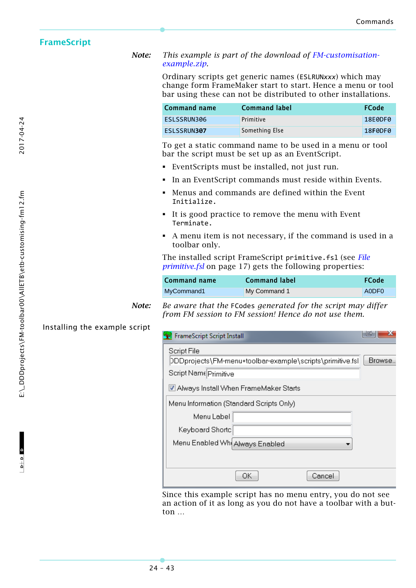#### **FrameScript**

#### *Note: This example is part of the download of [FM-customisation](http://daube.ch/docu/files/FM-customisation-example.zip)[example.zip.](http://daube.ch/docu/files/FM-customisation-example.zip)*

Ordinary scripts get generic names (ESLRUN*xxx*) which may change form FrameMaker start to start. Hence a menu or tool bar using these can not be distributed to other installations.

| Command name | <b>Command label</b> | <b>FCode</b> |
|--------------|----------------------|--------------|
| ESLSSRUN306  | Primitive            | 18E0DF0      |
| ESLSSRUN307  | Something Else       | 18F0DF0      |

To get a static command name to be used in a menu or tool bar the script must be set up as an EventScript.

- EventScripts must be installed, not just run.
- In an EventScript commands must reside within Events.
- Menus and commands are defined within the Event Initialize.
- It is good practice to remove the menu with Event Terminate.
- A menu item is not necessary, if the command is used in a toolbar only.

The installed script FrameScript primitive.fsl (see *[File](#page-16-1)  primitive.fsl* [on page 17\)](#page-16-1) gets the following properties:

*from FM session to FM session! Hence do not use them.*

| Command name | <b>Command label</b> | <b>FCode</b> |
|--------------|----------------------|--------------|
| MyCommand1   | My Command 1         | A0DF0        |

*Note: Be aware that the* FCodes *generated for the script may differ* 

| Installing the example script |  |  |
|-------------------------------|--|--|
|-------------------------------|--|--|

| <b>FrameScript Script Install</b>                         |        |
|-----------------------------------------------------------|--------|
| Script File                                               |        |
| DDDprojects\FM-menu+toolbar-example\scripts\primitive.fsl | Browse |
| Script Name Primitive                                     |        |
| M Always Install When FrameMaker Starts                   |        |
| Menu Information (Standard Scripts Only)                  |        |
| Menu Label                                                |        |
| Keyboard Shortc                                           |        |
| Menu Enabled Whi Always Enabled                           |        |
|                                                           |        |
| ОΚ<br>Cancel                                              |        |
|                                                           |        |

Since this example script has no menu entry, you do not see an action of it as long as you do not have a toolbar with a button …

2017-04-24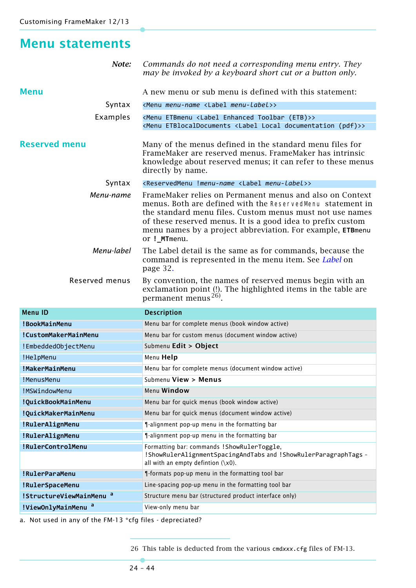### <span id="page-43-0"></span>**Menu statements**

<span id="page-43-2"></span><span id="page-43-1"></span>

| Note:                               | Commands do not need a corresponding menu entry. They<br>may be invoked by a keyboard short cut or a button only.                                                                                                                                                                                                                       |
|-------------------------------------|-----------------------------------------------------------------------------------------------------------------------------------------------------------------------------------------------------------------------------------------------------------------------------------------------------------------------------------------|
| <b>Menu</b>                         | A new menu or sub menu is defined with this statement:                                                                                                                                                                                                                                                                                  |
| Syntax                              | <menu <label="" menu-label="" menu-name="">&gt;</menu>                                                                                                                                                                                                                                                                                  |
| Examples                            | <menu (etb)="" <label="" enhanced="" etbmenu="" toolbar="">&gt;</menu>                                                                                                                                                                                                                                                                  |
|                                     | <menu (pdf)="" <label="" documentation="" etblocaldocuments="" local="">&gt;</menu>                                                                                                                                                                                                                                                     |
| <b>Reserved menu</b>                | Many of the menus defined in the standard menu files for<br>FrameMaker are reserved menus. FrameMaker has intrinsic<br>knowledge about reserved menus; it can refer to these menus<br>directly by name.                                                                                                                                 |
| Syntax                              | <reservedmenu !menu-name="" <label="" menu-label="">&gt;</reservedmenu>                                                                                                                                                                                                                                                                 |
| Menu-name                           | FrameMaker relies on Permanent menus and also on Context<br>menus. Both are defined with the ReservedMenu statement in<br>the standard menu files. Custom menus must not use names<br>of these reserved menus. It is a good idea to prefix custom<br>menu names by a project abbreviation. For example, <b>ETB</b> menu<br>or ! MTmenu. |
| Menu-label                          | The Label detail is the same as for commands, because the<br>command is represented in the menu item. See Label on<br>page 32.                                                                                                                                                                                                          |
| Reserved menus                      | By convention, the names of reserved menus begin with an<br>exclamation point (!). The highlighted items in the table are                                                                                                                                                                                                               |
|                                     | permanent menus <sup>26)</sup> .                                                                                                                                                                                                                                                                                                        |
| <b>Menu ID</b>                      | <b>Description</b>                                                                                                                                                                                                                                                                                                                      |
| !BookMainMenu                       | Menu bar for complete menus (book window active)                                                                                                                                                                                                                                                                                        |
| !CustomMakerMainMenu                | Menu bar for custom menus (document window active)                                                                                                                                                                                                                                                                                      |
| !EmbeddedObjectMenu                 | Submenu Edit > Object                                                                                                                                                                                                                                                                                                                   |
| !HelpMenu                           | Menu Help                                                                                                                                                                                                                                                                                                                               |
| !MakerMainMenu                      | Menu bar for complete menus (document window active)                                                                                                                                                                                                                                                                                    |
| !MenusMenu                          | Submenu View > Menus                                                                                                                                                                                                                                                                                                                    |
| !MSWindowMenu                       | Menu Window                                                                                                                                                                                                                                                                                                                             |
| !QuickBookMainMenu                  | Menu bar for quick menus (book window active)                                                                                                                                                                                                                                                                                           |
| !QuickMakerMainMenu                 | Menu bar for quick menus (document window active)                                                                                                                                                                                                                                                                                       |
| !RulerAlignMenu                     | ¶-alignment pop-up menu in the formatting bar                                                                                                                                                                                                                                                                                           |
| !RulerAlignMenu                     | ¶-alignment pop-up menu in the formatting bar                                                                                                                                                                                                                                                                                           |
| !RulerControlMenu                   | Formatting bar: commands ! ShowRulerToggle,<br>!ShowRulerAlignmentSpacingAndTabs and !ShowRulerParagraphTags -<br>all with an empty defintion $(\x0)$ .                                                                                                                                                                                 |
| !RulerParaMenu                      | ¶-formats pop-up menu in the formatting tool bar                                                                                                                                                                                                                                                                                        |
| !RulerSpaceMenu                     | Line-spacing pop-up menu in the formatting tool bar                                                                                                                                                                                                                                                                                     |
| !StructureViewMainMenu <sup>a</sup> | Structure menu bar (structured product interface only)                                                                                                                                                                                                                                                                                  |

<span id="page-43-3"></span>a. Not used in any of the FM-13 \*cfg files - depreciated?

26 This table is deducted from the various cmd*xxx*.cfg files of FM-13.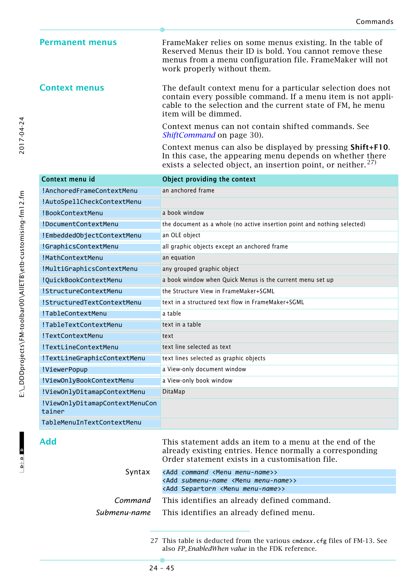**Permanent menus** FrameMaker relies on some menus existing. In the table of Reserved Menus their ID is bold. You cannot remove these menus from a menu configuration file. FrameMaker will not work properly without them.

**Context menus** The default context menu for a particular selection does not contain every possible command. If a menu item is not applicable to the selection and the current state of FM, he menu item will be dimmed.

> Context menus can not contain shifted commands. See *[ShiftCommand](#page-29-2)* on page 30).

Context menus can also be displayed by pressing **Shift+F10**. In this case, the appearing menu depends on whether there exists a selected object, an insertion point, or neither.<sup>27)</sup>

| Context menu id                          | Object providing the context                                             |
|------------------------------------------|--------------------------------------------------------------------------|
| ! AnchoredFrameContextMenu               | an anchored frame                                                        |
| !AutoSpellCheckContextMenu               |                                                                          |
| !BookContextMenu                         | a book window                                                            |
| !DocumentContextMenu                     | the document as a whole (no active insertion point and nothing selected) |
| !EmbeddedObjectContextMenu               | an OLE object                                                            |
| !GraphicsContextMenu                     | all graphic objects except an anchored frame                             |
| !MathContextMenu                         | an equation                                                              |
| !MultiGraphicsContextMenu                | any grouped graphic object                                               |
| !QuickBookContextMenu                    | a book window when Quick Menus is the current menu set up                |
| !StructureContextMenu                    | the Structure View in FrameMaker+SGML                                    |
| !StructuredTextContextMenu               | text in a structured text flow in FrameMaker+SGML                        |
| !TableContextMenu                        | a table                                                                  |
| !TableTextContextMenu                    | text in a table                                                          |
| !TextContextMenu                         | text                                                                     |
| !TextLineContextMenu                     | text line selected as text                                               |
| !TextLineGraphicContextMenu              | text lines selected as graphic objects                                   |
| !ViewerPopup                             | a View-only document window                                              |
| !ViewOnlyBookContextMenu                 | a View-only book window                                                  |
| !ViewOnlyDitamapContextMenu              | DitaMap                                                                  |
| !ViewOnlyDitamapContextMenuCon<br>tainer |                                                                          |
| TableMenuInTextContextMenu               |                                                                          |

 $D + D$  D

 $-1$ 

<span id="page-44-0"></span>Add This statement adds an item to a menu at the end of the already existing entries. Hence normally a corresponding Order statement exists in a customisation file.

| Syntax | <add <menu="" command="" menu-name="">&gt;</add>             |
|--------|--------------------------------------------------------------|
|        | <add <menu="" menu-name="" submenu-name="">&gt;</add>        |
|        | <add <menu="" menu-name="" separtorn="">&gt;</add>           |
|        | <i>Command</i> This identifies an already defined command.   |
|        | <i>Submenu-name</i> This identifies an already defined menu. |

27 This table is deducted from the various cmd*xxx*.cfg files of FM-13. See also *FP\_EnabledWhen value* in the FDK reference.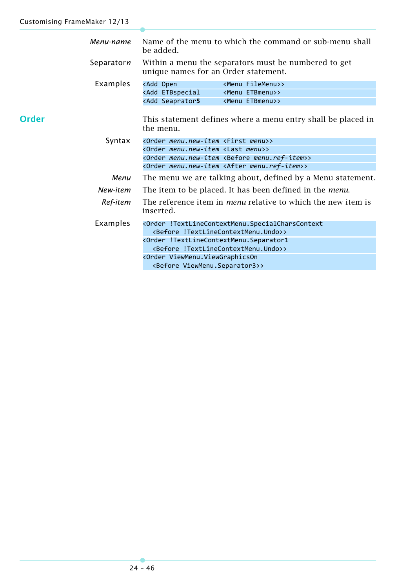<span id="page-45-0"></span>

|       | Menu-name          | Name of the menu to which the command or sub-menu shall<br>be added.                                                                                                                                                                                                                                                       |
|-------|--------------------|----------------------------------------------------------------------------------------------------------------------------------------------------------------------------------------------------------------------------------------------------------------------------------------------------------------------------|
|       | Separator <i>n</i> | Within a menu the separators must be numbered to get<br>unique names for an Order statement.                                                                                                                                                                                                                               |
|       | Examples           | <menu filemenu="">&gt;<br/><add open<br=""><add etbspecial<br=""><menu etbmenu="">&gt;<br/><add seaprator5<br=""><menu etbmenu="">&gt;</menu></add></menu></add></add></menu>                                                                                                                                              |
| Order |                    | This statement defines where a menu entry shall be placed in<br>the menu.                                                                                                                                                                                                                                                  |
|       | Syntax             | <order <first="" menu="" menu.new-item="">&gt;<br/><order <last="" menu="" menu.new-item="">&gt;<br/><order <before="" menu.new-item="" menu.ref-item="">&gt;<br/><order <after="" menu.new-item="" menu.ref-item="">&gt;</order></order></order></order>                                                                  |
|       | Menu               | The menu we are talking about, defined by a Menu statement.                                                                                                                                                                                                                                                                |
|       | New-item           | The item to be placed. It has been defined in the <i>menu</i> .                                                                                                                                                                                                                                                            |
|       | Ref-item           | The reference item in <i>menu</i> relative to which the new item is<br>inserted.                                                                                                                                                                                                                                           |
|       | Examples           | <order !textlinecontextmenu.specialcharscontext<br=""><before !textlinecontextmenu.undo="">&gt;<br/><order !textlinecontextmenu.separator1<br=""><before !textlinecontextmenu.undo="">&gt;<br/><order viewmenu.viewgraphicson<br=""><before viewmenu.separator3="">&gt;</before></order></before></order></before></order> |
|       |                    |                                                                                                                                                                                                                                                                                                                            |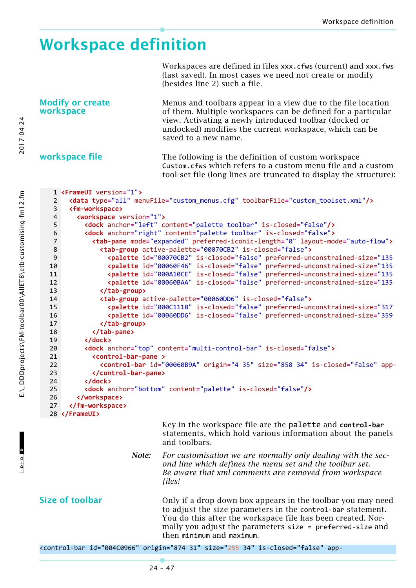## <span id="page-46-0"></span>**Workspace definition**

Workspaces are defined in files xxx.cfws (current) and xxx.fws (last saved). In most cases we need not create or modify (besides line 2) such a file.

**Modify or create workspace** Menus and toolbars appear in a view due to the file location of them. Multiple workspaces can be defined for a particular view. Activating a newly introduced toolbar (docked or undocked) modifies the current workspace, which can be saved to a new name.

**workspace file** The following is the definition of custom workspace Custom.cfws which refers to a custom menu file and a custom tool-set file (long lines are truncated to display the structure):

```
Key in the workspace file are the palette and control-bar
                              statements, which hold various information about the panels 
                              and toolbars.
 <FrameUI version="1">
1
     <data type="all" menuFile="custom_menus.cfg" toolbarFile="custom_toolset.xml"/>
     <fm-workspace>
       <workspace version="1">
         <dock anchor="left" content="palette toolbar" is-closed="false"/>
         <dock anchor="right" content="palette toolbar" is-closed="false">
           <tab-pane mode="expanded" preferred-iconic-length="0" layout-mode="auto-flow">
             <tab-group active-palette="00070CB2" is-closed="false">
               <palette id="00070CB2" is-closed="false" preferred-unconstrained-size="135
               <palette id="00060F46" is-closed="false" preferred-unconstrained-size="135
               <palette id="000A10CE" is-closed="false" preferred-unconstrained-size="135
               <palette id="00060BAA" is-closed="false" preferred-unconstrained-size="135
             </tab-group>
             <tab-group active-palette="00060DD6" is-closed="false">
               <palette id="000C1118" is-closed="false" preferred-unconstrained-size="317
               <palette id="00060DD6" is-closed="false" preferred-unconstrained-size="359
             </tab-group>
           </tab-pane>
         </dock>
         <dock anchor="top" content="multi-control-bar" is-closed="false">
           <control-bar-pane >
             <control-bar id="00060B9A" origin="4 35" size="858 34" is-closed="false" app-
           </control-bar-pane>
         </dock>
         <dock anchor="bottom" content="palette" is-closed="false"/>
       </workspace>
     </fm-workspace>
</FrameUI>
282
 3
4
 5
 6
7
8
9
10
11
12
13
14
15
16
17
18
19
20
21
2223
24
25
26
27
```
*Note: For customisation we are normally only dealing with the second line which defines the menu set and the toolbar set. Be aware that xml comments are removed from workspace files!*

**Size of toolbar** Only if a drop down box appears in the toolbar you may need to adjust the size parameters in the control-bar statement. You do this after the workspace file has been created. Normally you adjust the parameters size = preferred-size and then minimum and maximum.

<control-bar id="004C0966" origin="874 31" size="255 34" is-closed="false" app-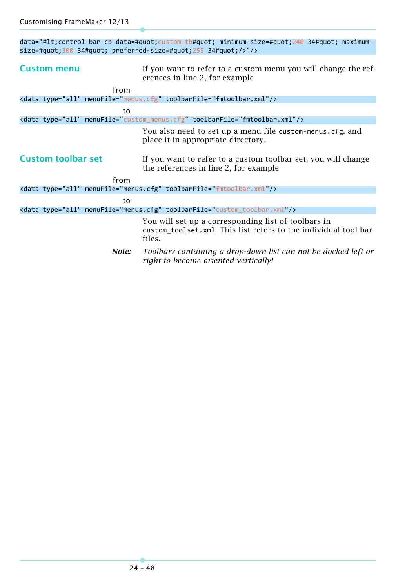| data="#1t;control-bar cb-data=#quot;custom_tb#quot; minimum-size=#quot;240 34#quot; maximum-<br>$size=\#quot; 300$ 34#quot; preferred-size=#quot;255 34#quot;/>"/> |                                                                                                                                  |  |  |  |
|--------------------------------------------------------------------------------------------------------------------------------------------------------------------|----------------------------------------------------------------------------------------------------------------------------------|--|--|--|
| <b>Custom menu</b>                                                                                                                                                 | If you want to refer to a custom menu you will change the ref-<br>erences in line 2, for example                                 |  |  |  |
| from                                                                                                                                                               |                                                                                                                                  |  |  |  |
|                                                                                                                                                                    | <data menufile="menus.cfg" toolbarfile="fmtoolbar.xml" type="all"></data>                                                        |  |  |  |
| to                                                                                                                                                                 |                                                                                                                                  |  |  |  |
|                                                                                                                                                                    | <data menufile="custom_menus.cfg" toolbarfile="fmtoolbar.xml" type="all"></data>                                                 |  |  |  |
|                                                                                                                                                                    | You also need to set up a menu file custom-menus.cfg. and<br>place it in appropriate directory.                                  |  |  |  |
| <b>Custom toolbar set</b>                                                                                                                                          | If you want to refer to a custom toolbar set, you will change<br>the references in line 2, for example                           |  |  |  |
| from                                                                                                                                                               |                                                                                                                                  |  |  |  |
|                                                                                                                                                                    | <data menufile="menus.cfg" toolbarfile="fmtoolbar.xml" type="all"></data>                                                        |  |  |  |
| to                                                                                                                                                                 |                                                                                                                                  |  |  |  |
|                                                                                                                                                                    | <data menufile="menus.cfg" toolbarfile="custom_toolbar.xml" type="all"></data>                                                   |  |  |  |
|                                                                                                                                                                    | You will set up a corresponding list of toolbars in<br>custom_toolset.xml. This list refers to the individual tool bar<br>files. |  |  |  |
| Note:                                                                                                                                                              | Toolbars containing a drop-down list can not be docked left or<br>right to become oriented vertically!                           |  |  |  |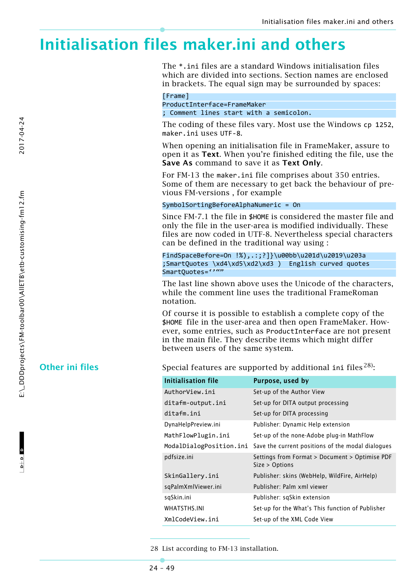## <span id="page-48-0"></span>**Initialisation files maker.ini and others**

The \*.ini files are a standard Windows initialisation files which are divided into sections. Section names are enclosed in brackets. The equal sign may be surrounded by spaces:

#### [Frame]

ProductInterface=FrameMaker ; Comment lines start with a semicolon.

The coding of these files vary. Most use the Windows cp 1252, maker.ini uses UTF-8.

When opening an initialisation file in FrameMaker, assure to open it as **Text**. When you're finished editing the file, use the **Save As** command to save it as **Text Only**.

For FM-13 the maker.ini file comprises about 350 entries. Some of them are necessary to get back the behaviour of previous FM-versions , for example

#### SymbolSortingBeforeAlphaNumeric = On

Since FM-7.1 the file in \$HOME is considered the master file and only the file in the user-area is modified individually. These files are now coded in UTF-8. Nevertheless special characters can be defined in the traditional way using :

FindSpaceBefore=On !%),.:;?]}\u00bb\u201d\u2019\u203a ;SmartQuotes \xd4\xd5\xd2\xd3 ) English curved quotes SmartQuotes="""

The last line shown above uses the Unicode of the characters, while the comment line uses the traditional FrameRoman notation.

Of course it is possible to establish a complete copy of the \$HOME file in the user-area and then open FrameMaker. However, some entries, such as ProductInterface are not present in the main file. They describe items which might differ between users of the same system.

**Other ini files** Special features are supported by additional ini files<sup>28)</sup>:

| Initialisation file     | Purpose, used by                                                 |
|-------------------------|------------------------------------------------------------------|
| AuthorView.ini          | Set-up of the Author View                                        |
| ditafm-output.ini       | Set-up for DITA output processing                                |
| ditafm.ini              | Set-up for DITA processing                                       |
| DynaHelpPreview.ini     | Publisher: Dynamic Help extension                                |
| MathFlowPlugin.ini      | Set-up of the none-Adobe plug-in MathFlow                        |
| ModalDialogPosition.ini | Save the current positions of the modal dialogues                |
| pdfsize.ini             | Settings from Format > Document > Optimise PDF<br>Size > Options |
| SkinGallery.ini         | Publisher: skins (WebHelp, WildFire, AirHelp)                    |
| sqPalmXmlViewer.ini     | Publisher: Palm xml viewer                                       |
| sqSkin.ini              | Publisher: sqSkin extension                                      |
| <b>WHATSTHS.INI</b>     | Set-up for the What's This function of Publisher                 |
| XmlCodeView.ini         | Set-up of the XML Code View                                      |

28 List according to FM-13 installation.

2017-04-24

24 – 49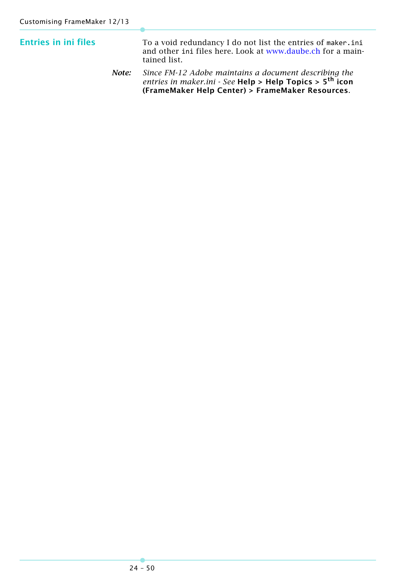<span id="page-49-0"></span>

| <b>Entries in ini files</b> |       | To a void redundancy I do not list the entries of maker.ini<br>and other ini files here. Look at www.daube.ch for a main-<br>tained list.                               |  |
|-----------------------------|-------|-------------------------------------------------------------------------------------------------------------------------------------------------------------------------|--|
|                             | Note: | Since FM-12 Adobe maintains a document describing the<br>entries in maker.ini - See Help > Help Topics > $5th$ icon<br>(FrameMaker Help Center) > FrameMaker Resources. |  |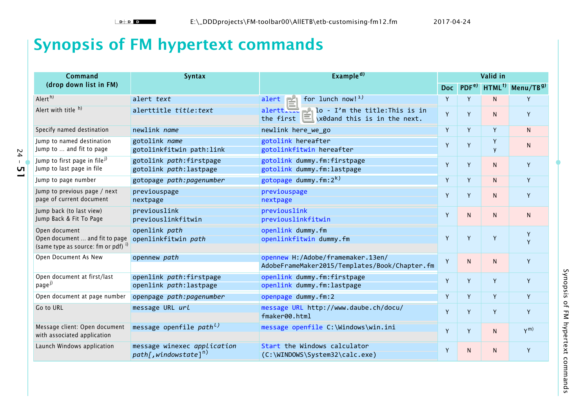# **Synopsis of FM hypertext commands**

<span id="page-50-0"></span>

| <b>Command</b>                                                                             | <b>Syntax</b>                                                   | Example <sup>d)</sup>                                                                      |            | Valid in         |                   |                       |  |  |
|--------------------------------------------------------------------------------------------|-----------------------------------------------------------------|--------------------------------------------------------------------------------------------|------------|------------------|-------------------|-----------------------|--|--|
| (drop down list in FM)                                                                     |                                                                 |                                                                                            | <b>Doc</b> | PDF <sup>e</sup> | HTML <sup>†</sup> | Menu/TB <sup>g)</sup> |  |  |
| Alert <sup>h)</sup>                                                                        | alert text                                                      | alert Time for lunch now! <sup>1)</sup>                                                    | Y          | Y                | N                 | Y                     |  |  |
| Alert with title h)                                                                        | alerttitle title: text                                          | alerttitle Hello - I'm the title: This is in<br>the first line\x0dand this is in the next. | Y          | Y                | N                 | Y                     |  |  |
| Specify named destination                                                                  | newlink <i>name</i>                                             | newlink here_we_go                                                                         | Y          | Y                | Y                 | $\mathsf{N}$          |  |  |
| Jump to named destination<br>Jump to  and fit to page                                      | gotolink name<br>gotolinkfitwin path: link                      | gotolink hereafter<br>gotolinkfitwin hereafter                                             | Y          | Y                | Y<br>y            | N.                    |  |  |
| Jump to first page in file <sup>j)</sup><br>Jump to last page in file                      | gotolink path:firstpage<br>gotolink path: lastpage              | gotolink dummy.fm:firstpage<br>gotolink dummy.fm:lastpage                                  | Y          | Y                | N.                | Y                     |  |  |
| Jump to page number                                                                        | gotopage path: pagenumber                                       | gotopage dummy.fm: $2^{k}$ )                                                               | Y          | Y                | N                 | Y                     |  |  |
| Jump to previous page / next<br>page of current document                                   | previouspage<br>nextpage                                        | previouspage<br>nextpage                                                                   | Y          | Y                | N                 | Y                     |  |  |
| Jump back (to last view)<br>Jump Back & Fit To Page                                        | previouslink<br>previouslinkfitwin                              | previouslink<br>previouslinkfitwin                                                         | Y          | N.               | N                 | N                     |  |  |
| Open document<br>Open document  and fit to page<br>(same type as source: fm or pdf) $^{1}$ | openlink path<br>openlinkfitwin path                            | openlink dummy.fm<br>openlinkfitwin dummy.fm                                               | Y          | Y                | Y                 | Y<br>Y                |  |  |
| Open Document As New                                                                       | opennew path                                                    | opennew H:/Adobe/framemaker.13en/<br>AdobeFrameMaker2015/Templates/Book/Chapter.fm         | Y          | N.               | N                 | Y                     |  |  |
| Open document at first/last<br>page <sup>j)</sup>                                          | openlink path: firstpage<br>openlink path: lastpage             | openlink dummy.fm:firstpage<br>openlink dummy.fm:lastpage                                  | Y          | Y                | Y                 | Y                     |  |  |
| Open document at page number                                                               | openpage path: pagenumber                                       | openpage dummy.fm:2                                                                        | Y          | Y                | Y                 | Y                     |  |  |
| Go to URL                                                                                  | message URL url                                                 | message URL http://www.daube.ch/docu/<br>fmaker00.html                                     | Y          | Y                | Y                 | Y                     |  |  |
| Message client: Open document<br>with associated application                               | message openfile path <sup>l)</sup>                             | message openfile C:\Windows\win.ini                                                        | Y          | Y                | N                 | $Y^{(m)}$             |  |  |
| Launch Windows application                                                                 | message winexec application<br>path[,windowstate] <sup>n)</sup> | Start the Windows calculator<br>(C:\WINDOWS\System32\calc.exe)                             | Y          | N.               | N                 | Y                     |  |  |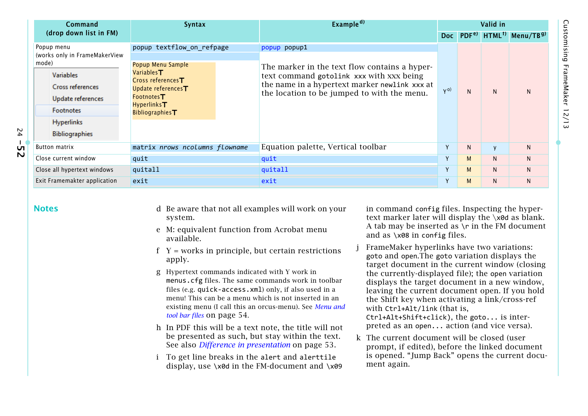<span id="page-51-0"></span>

| Command                                                                                                                                                                                    | <b>Syntax</b>                                                                                                                                                                                               | Example <sup>d)</sup>                                                                                                                                                                                     |         |   | Valid in |                                                            |
|--------------------------------------------------------------------------------------------------------------------------------------------------------------------------------------------|-------------------------------------------------------------------------------------------------------------------------------------------------------------------------------------------------------------|-----------------------------------------------------------------------------------------------------------------------------------------------------------------------------------------------------------|---------|---|----------|------------------------------------------------------------|
| (drop down list in FM)                                                                                                                                                                     |                                                                                                                                                                                                             |                                                                                                                                                                                                           | Doc     |   |          | PDF <sup>e)</sup> HTML <sup>t)</sup> Menu/TB <sup>g)</sup> |
| Popup menu<br>(works only in FrameMakerView<br>mode)<br><b>Variables</b><br><b>Cross references</b><br>Update references<br><b>Footnotes</b><br><b>Hyperlinks</b><br><b>Bibliographies</b> | popup textflow_on_refpage<br>Popup Menu Sample<br>Variables <b>T</b><br>Cross references <sup>T</sup><br>Update references <sup>T</sup><br><b>Footnotes</b> T<br><b>Hyperlinks</b><br>Bibliographies $\top$ | popup popup1<br>The marker in the text flow contains a hyper-<br>text command gotolink xxx with xxx being<br>the name in a hypertext marker newlink xxx at<br>the location to be jumped to with the menu. | $Y^{0}$ | N | N        | N                                                          |
| <b>Button matrix</b>                                                                                                                                                                       | matrix nrows ncolumns flowname                                                                                                                                                                              | Equation palette, Vertical toolbar                                                                                                                                                                        | Y       | N | V        | N                                                          |
| Close current window                                                                                                                                                                       | quit                                                                                                                                                                                                        | quit                                                                                                                                                                                                      | Y       | M | N.       | N                                                          |
| Close all hypertext windows                                                                                                                                                                | quitall                                                                                                                                                                                                     | quitall                                                                                                                                                                                                   | Y       | M | N        | N                                                          |
| Exit Framemakter application                                                                                                                                                               | exit                                                                                                                                                                                                        | exit                                                                                                                                                                                                      | Y       | M | N        | N                                                          |

#### **Notes**

24

 **–52**

- <span id="page-51-1"></span> d Be aware that not all examples will work on your system.
- <span id="page-51-2"></span><sup>e</sup> M: equivalent function from Acrobat menu available.
- <span id="page-51-3"></span> $f Y =$  works in principle, but certain restrictions apply.
- <span id="page-51-4"></span>g Hypertext commands indicated with Y work in menus.cfg files. The same commands work in toolbar files (e.g. quick-access.xml) only, if also used in a menu! This can be a menu which is not inserted in an existing menu (I call this an orcus-menu). See *[Menu and](#page-53-2)  [tool bar files](#page-53-2)* on page 54.
- <span id="page-51-5"></span>h In PDF this will be a text note, the title will not be presented as such, but stay within the text. See also *[Difference in presentation](#page-52-5)* on page 53.
- <span id="page-51-6"></span>i To get line breaks in the alert and alerttile display, use \x0d in the FM-document and \x09

in command config files. Inspecting the hypertext marker later will display the \x0d as blank. A tab may be inserted as \r in the FM document and as \x08 in config files.

- <span id="page-51-7"></span>FrameMaker hyperlinks have two variations: goto and open.The goto variation displays the target document in the current window (closing the currently-displayed file); the open variation displays the target document in a new window, leaving the current document open. If you hold the Shift key when activating a link/cross-ref with Ctrl+Alt/link (that is, Ctrl+Alt+Shift+click), the goto... is interpreted as an open... action (and vice versa).
- <span id="page-51-8"></span>k The current document will be closed (user prompt, if edited), before the linked document is opened. "Jump Back" opens the current document again.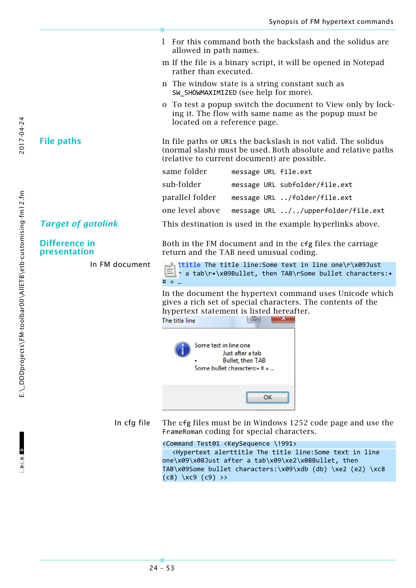<span id="page-52-5"></span><span id="page-52-4"></span><span id="page-52-3"></span><span id="page-52-2"></span><span id="page-52-1"></span><span id="page-52-0"></span>l For this command both the backslash and the solidus are

allowed in path names. m If the file is a binary script, it will be opened in Notepad rather than executed. n The window state is a string constant such as SW\_SHOWMAXIMIZED (see help for more). o To test a popup switch the document to View only by locking it. The flow with same name as the popup must be located on a reference page. **File paths** In file paths or URLs the backslash is not valid. The solidus (normal slash) must be used. Both absolute and relative paths (relative to current document) are possible. same folder message URL file.ext sub-folder message URL subfolder/file.ext parallel folder message URL ../folder/file.ext one level above message URL ../../upperfolder/file.ext *Target of gotolink* This destination is used in the example hyperlinks above. **Difference in**  Both in the FM document and in the cfg files the carriage **presentation** return and the TAB need unusual coding. In FM document alerttitle The title line:Some text in line one\r\x09Just after a tab\r•\x09Bullet, then TAB\rSome bullet characters:• ¤ » … In the document the hypertext command uses Unicode which gives a rich set of special characters. The contents of the hypertext statement is listed hereafter. The title line i Gri Some text in line one Just after a tab **Bullet, then TAB** Some bullet characters:• ¤ » ... OK In cfg file The cfg files must be in Windows 1252 code page and use the FrameRoman coding for special characters. <Command Test01 <KeySequence \!991> <Hypertext alerttitle The title line:Some text in line one\x09\x08Just after a tab\x09\xe2\x08Bullet, then TAB\x09Some bullet characters:\x09\xdb (db) \xe2 (e2) \xc8

24 – 53

 $(c8)$   $(xc9 (c9)$  >>